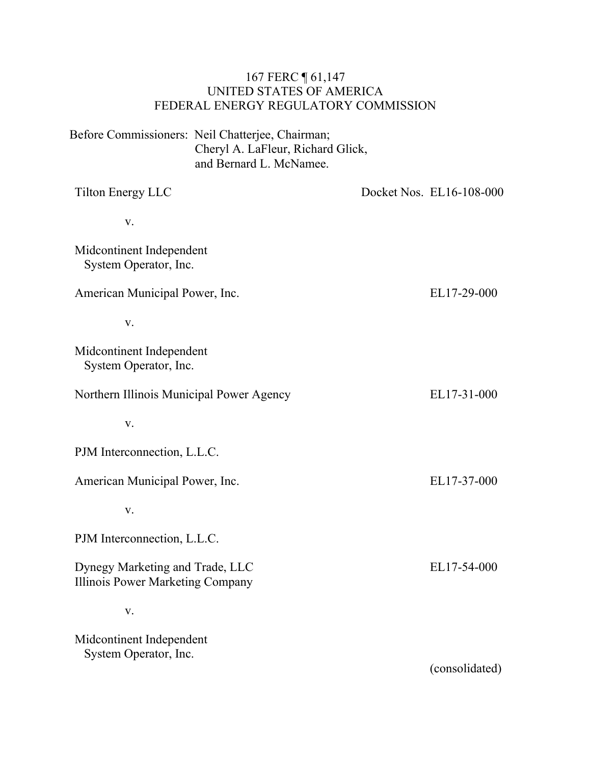### 167 FERC ¶ 61,147 UNITED STATES OF AMERICA FEDERAL ENERGY REGULATORY COMMISSION

Before Commissioners: Neil Chatterjee, Chairman; Cheryl A. LaFleur, Richard Glick, and Bernard L. McNamee.

| <b>Tilton Energy LLC</b>                                            | Docket Nos. EL16-108-000 |
|---------------------------------------------------------------------|--------------------------|
| V.                                                                  |                          |
| Midcontinent Independent<br>System Operator, Inc.                   |                          |
| American Municipal Power, Inc.                                      | EL17-29-000              |
| V.                                                                  |                          |
| Midcontinent Independent<br>System Operator, Inc.                   |                          |
| Northern Illinois Municipal Power Agency                            | EL17-31-000              |
| V.                                                                  |                          |
| PJM Interconnection, L.L.C.                                         |                          |
| American Municipal Power, Inc.                                      | EL17-37-000              |
| V.                                                                  |                          |
| PJM Interconnection, L.L.C.                                         |                          |
| Dynegy Marketing and Trade, LLC<br>Illinois Power Marketing Company | EL17-54-000              |
| V.                                                                  |                          |
| Midcontinent Independent<br>System Operator, Inc.                   | (consolidated)           |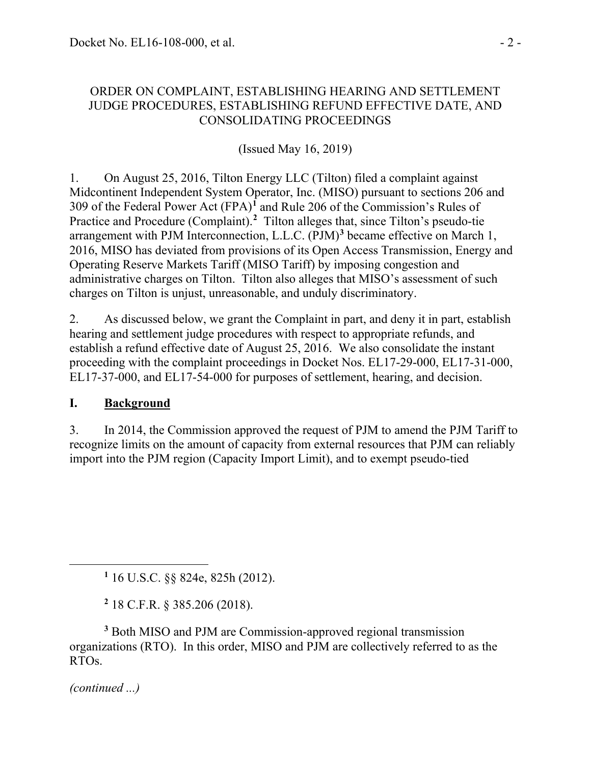### ORDER ON COMPLAINT, ESTABLISHING HEARING AND SETTLEMENT JUDGE PROCEDURES, ESTABLISHING REFUND EFFECTIVE DATE, AND CONSOLIDATING PROCEEDINGS

(Issued May 16, 2019)

1. On August 25, 2016, Tilton Energy LLC (Tilton) filed a complaint against Midcontinent Independent System Operator, Inc. (MISO) pursuant to sections 206 and 309 of the Federal Power Act (FPA)**[1](#page-1-0)** and Rule 206 of the Commission's Rules of Practice and Procedure (Complaint).<sup>[2](#page-1-1)</sup> Tilton alleges that, since Tilton's pseudo-tie arrangement with PJM Interconnection, L.L.C. (PJM)**[3](#page-1-2)** became effective on March 1, 2016, MISO has deviated from provisions of its Open Access Transmission, Energy and Operating Reserve Markets Tariff (MISO Tariff) by imposing congestion and administrative charges on Tilton. Tilton also alleges that MISO's assessment of such charges on Tilton is unjust, unreasonable, and unduly discriminatory.

2. As discussed below, we grant the Complaint in part, and deny it in part, establish hearing and settlement judge procedures with respect to appropriate refunds, and establish a refund effective date of August 25, 2016. We also consolidate the instant proceeding with the complaint proceedings in Docket Nos. EL17-29-000, EL17-31-000, EL17-37-000, and EL17-54-000 for purposes of settlement, hearing, and decision.

# **I. Background**

3. In 2014, the Commission approved the request of PJM to amend the PJM Tariff to recognize limits on the amount of capacity from external resources that PJM can reliably import into the PJM region (Capacity Import Limit), and to exempt pseudo-tied

**<sup>1</sup>** 16 U.S.C. §§ 824e, 825h (2012).

**<sup>2</sup>** 18 C.F.R. § 385.206 (2018).

<span id="page-1-2"></span><span id="page-1-1"></span><span id="page-1-0"></span>**<sup>3</sup>** Both MISO and PJM are Commission-approved regional transmission organizations (RTO). In this order, MISO and PJM are collectively referred to as the RTOs.

*(continued ...)*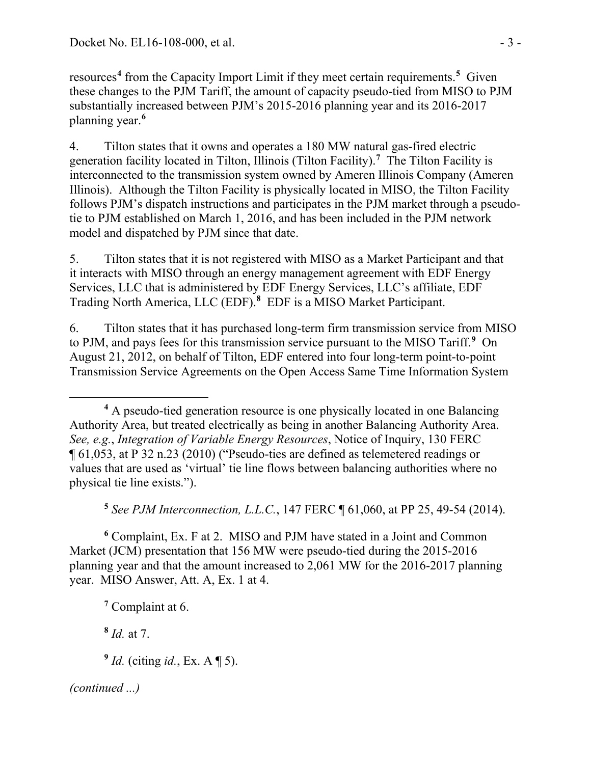resources**[4](#page-2-0)** from the Capacity Import Limit if they meet certain requirements.**[5](#page-2-1)** Given these changes to the PJM Tariff, the amount of capacity pseudo-tied from MISO to PJM substantially increased between PJM's 2015-2016 planning year and its 2016-2017 planning year. **[6](#page-2-2)**

4. Tilton states that it owns and operates a 180 MW natural gas-fired electric generation facility located in Tilton, Illinois (Tilton Facility).**[7](#page-2-3)** The Tilton Facility is interconnected to the transmission system owned by Ameren Illinois Company (Ameren Illinois). Although the Tilton Facility is physically located in MISO, the Tilton Facility follows PJM's dispatch instructions and participates in the PJM market through a pseudotie to PJM established on March 1, 2016, and has been included in the PJM network model and dispatched by PJM since that date.

5. Tilton states that it is not registered with MISO as a Market Participant and that it interacts with MISO through an energy management agreement with EDF Energy Services, LLC that is administered by EDF Energy Services, LLC's affiliate, EDF Trading North America, LLC (EDF).**[8](#page-2-4)** EDF is a MISO Market Participant.

6. Tilton states that it has purchased long-term firm transmission service from MISO to PJM, and pays fees for this transmission service pursuant to the MISO Tariff.**[9](#page-2-5)** On August 21, 2012, on behalf of Tilton, EDF entered into four long-term point-to-point Transmission Service Agreements on the Open Access Same Time Information System

**<sup>5</sup>** *See PJM Interconnection, L.L.C.*, 147 FERC ¶ 61,060, at PP 25, 49-54 (2014).

<span id="page-2-3"></span><span id="page-2-2"></span><span id="page-2-1"></span>**<sup>6</sup>** Complaint, Ex. F at 2. MISO and PJM have stated in a Joint and Common Market (JCM) presentation that 156 MW were pseudo-tied during the 2015-2016 planning year and that the amount increased to 2,061 MW for the 2016-2017 planning year. MISO Answer, Att. A, Ex. 1 at 4.

**<sup>7</sup>** Complaint at 6.

<span id="page-2-4"></span>**<sup>8</sup>** *Id.* at 7.

<span id="page-2-5"></span>**<sup>9</sup>** *Id.* (citing *id.*, Ex. A ¶ 5).

<span id="page-2-0"></span> $\overline{a}$ **<sup>4</sup>** A pseudo-tied generation resource is one physically located in one Balancing Authority Area, but treated electrically as being in another Balancing Authority Area. *See, e.g.*, *Integration of Variable Energy Resources*, Notice of Inquiry, 130 FERC ¶ 61,053, at P 32 n.23 (2010) ("Pseudo-ties are defined as telemetered readings or values that are used as 'virtual' tie line flows between balancing authorities where no physical tie line exists.").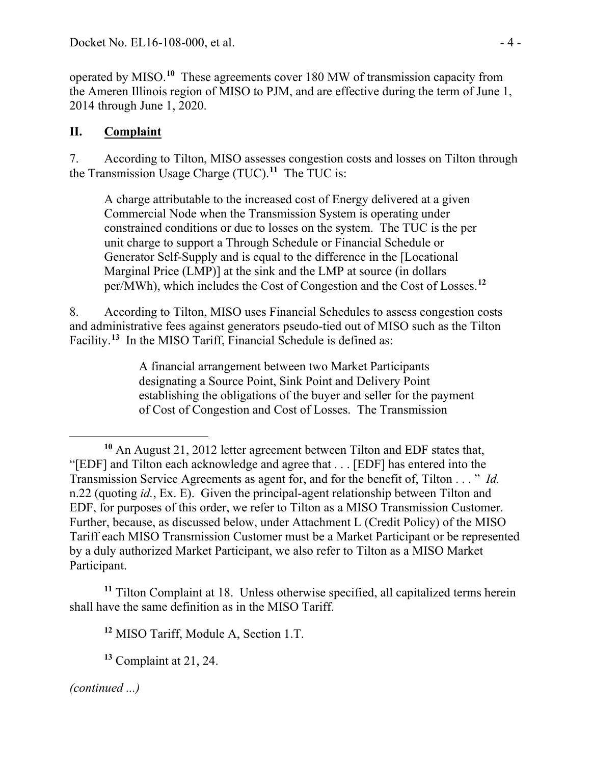operated by MISO.**[10](#page-3-0)** These agreements cover 180 MW of transmission capacity from the Ameren Illinois region of MISO to PJM, and are effective during the term of June 1, 2014 through June 1, 2020.

## **II. Complaint**

7. According to Tilton, MISO assesses congestion costs and losses on Tilton through the Transmission Usage Charge (TUC).**[11](#page-3-1)** The TUC is:

A charge attributable to the increased cost of Energy delivered at a given Commercial Node when the Transmission System is operating under constrained conditions or due to losses on the system. The TUC is the per unit charge to support a Through Schedule or Financial Schedule or Generator Self-Supply and is equal to the difference in the [Locational Marginal Price (LMP)] at the sink and the LMP at source (in dollars per/MWh), which includes the Cost of Congestion and the Cost of Losses.**[12](#page-3-2)**

8. According to Tilton, MISO uses Financial Schedules to assess congestion costs and administrative fees against generators pseudo-tied out of MISO such as the Tilton Facility.**[13](#page-3-3)** In the MISO Tariff, Financial Schedule is defined as:

> A financial arrangement between two Market Participants designating a Source Point, Sink Point and Delivery Point establishing the obligations of the buyer and seller for the payment of Cost of Congestion and Cost of Losses. The Transmission

<span id="page-3-3"></span><span id="page-3-2"></span><span id="page-3-1"></span>**<sup>11</sup>** Tilton Complaint at 18. Unless otherwise specified, all capitalized terms herein shall have the same definition as in the MISO Tariff.

**<sup>12</sup>** MISO Tariff, Module A, Section 1.T.

**<sup>13</sup>** Complaint at 21, 24.

<span id="page-3-0"></span>**<sup>10</sup>** An August 21, 2012 letter agreement between Tilton and EDF states that, "[EDF] and Tilton each acknowledge and agree that . . . [EDF] has entered into the Transmission Service Agreements as agent for, and for the benefit of, Tilton . . . " *Id.* n.22 (quoting *id.*, Ex. E). Given the principal-agent relationship between Tilton and EDF, for purposes of this order, we refer to Tilton as a MISO Transmission Customer. Further, because, as discussed below, under Attachment L (Credit Policy) of the MISO Tariff each MISO Transmission Customer must be a Market Participant or be represented by a duly authorized Market Participant, we also refer to Tilton as a MISO Market Participant.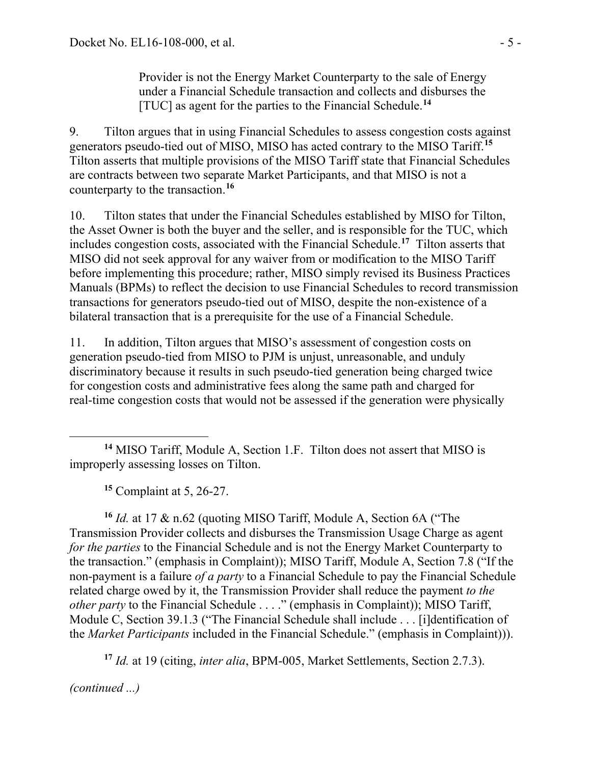Provider is not the Energy Market Counterparty to the sale of Energy under a Financial Schedule transaction and collects and disburses the [TUC] as agent for the parties to the Financial Schedule.**[14](#page-4-0)**

9. Tilton argues that in using Financial Schedules to assess congestion costs against generators pseudo-tied out of MISO, MISO has acted contrary to the MISO Tariff.**[15](#page-4-1)** Tilton asserts that multiple provisions of the MISO Tariff state that Financial Schedules are contracts between two separate Market Participants, and that MISO is not a counterparty to the transaction.**[16](#page-4-2)**

10. Tilton states that under the Financial Schedules established by MISO for Tilton, the Asset Owner is both the buyer and the seller, and is responsible for the TUC, which includes congestion costs, associated with the Financial Schedule. **[17](#page-4-3)** Tilton asserts that MISO did not seek approval for any waiver from or modification to the MISO Tariff before implementing this procedure; rather, MISO simply revised its Business Practices Manuals (BPMs) to reflect the decision to use Financial Schedules to record transmission transactions for generators pseudo-tied out of MISO, despite the non-existence of a bilateral transaction that is a prerequisite for the use of a Financial Schedule.

11. In addition, Tilton argues that MISO's assessment of congestion costs on generation pseudo-tied from MISO to PJM is unjust, unreasonable, and unduly discriminatory because it results in such pseudo-tied generation being charged twice for congestion costs and administrative fees along the same path and charged for real-time congestion costs that would not be assessed if the generation were physically

**<sup>15</sup>** Complaint at 5, 26-27.

<span id="page-4-2"></span><span id="page-4-1"></span>**<sup>16</sup>** *Id.* at 17 & n.62 (quoting MISO Tariff, Module A, Section 6A ("The Transmission Provider collects and disburses the Transmission Usage Charge as agent *for the parties* to the Financial Schedule and is not the Energy Market Counterparty to the transaction." (emphasis in Complaint)); MISO Tariff, Module A, Section 7.8 ("If the non-payment is a failure *of a party* to a Financial Schedule to pay the Financial Schedule related charge owed by it, the Transmission Provider shall reduce the payment *to the other party* to the Financial Schedule . . . ." (emphasis in Complaint)); MISO Tariff, Module C, Section 39.1.3 ("The Financial Schedule shall include . . . [i]dentification of the *Market Participants* included in the Financial Schedule." (emphasis in Complaint))).

<span id="page-4-3"></span>**<sup>17</sup>** *Id.* at 19 (citing, *inter alia*, BPM-005, Market Settlements, Section 2.7.3).

<span id="page-4-0"></span>**<sup>14</sup>** MISO Tariff, Module A, Section 1.F. Tilton does not assert that MISO is improperly assessing losses on Tilton.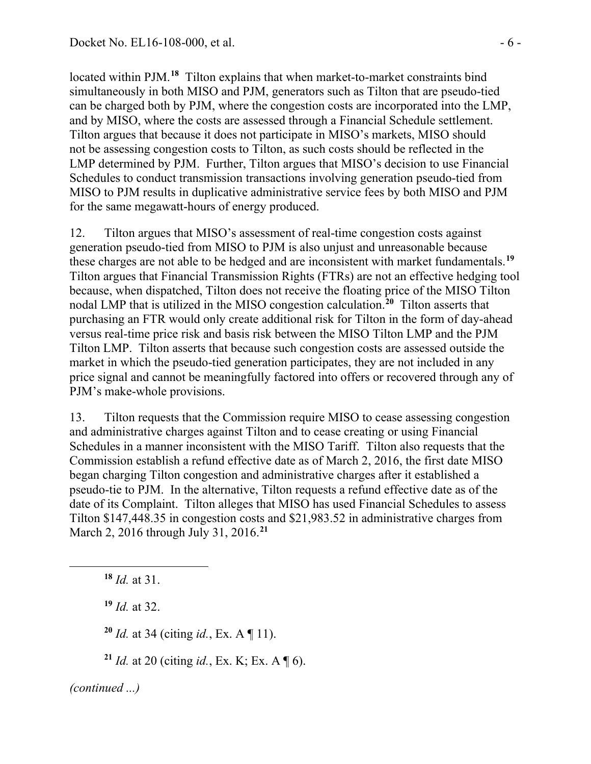located within PJM.<sup>[18](#page-5-0)</sup> Tilton explains that when market-to-market constraints bind simultaneously in both MISO and PJM, generators such as Tilton that are pseudo-tied can be charged both by PJM, where the congestion costs are incorporated into the LMP, and by MISO, where the costs are assessed through a Financial Schedule settlement. Tilton argues that because it does not participate in MISO's markets, MISO should not be assessing congestion costs to Tilton, as such costs should be reflected in the LMP determined by PJM. Further, Tilton argues that MISO's decision to use Financial Schedules to conduct transmission transactions involving generation pseudo-tied from MISO to PJM results in duplicative administrative service fees by both MISO and PJM for the same megawatt-hours of energy produced.

12. Tilton argues that MISO's assessment of real-time congestion costs against generation pseudo-tied from MISO to PJM is also unjust and unreasonable because these charges are not able to be hedged and are inconsistent with market fundamentals.**[19](#page-5-1)** Tilton argues that Financial Transmission Rights (FTRs) are not an effective hedging tool because, when dispatched, Tilton does not receive the floating price of the MISO Tilton nodal LMP that is utilized in the MISO congestion calculation.**[20](#page-5-2)** Tilton asserts that purchasing an FTR would only create additional risk for Tilton in the form of day-ahead versus real-time price risk and basis risk between the MISO Tilton LMP and the PJM Tilton LMP. Tilton asserts that because such congestion costs are assessed outside the market in which the pseudo-tied generation participates, they are not included in any price signal and cannot be meaningfully factored into offers or recovered through any of PJM's make-whole provisions.

13. Tilton requests that the Commission require MISO to cease assessing congestion and administrative charges against Tilton and to cease creating or using Financial Schedules in a manner inconsistent with the MISO Tariff. Tilton also requests that the Commission establish a refund effective date as of March 2, 2016, the first date MISO began charging Tilton congestion and administrative charges after it established a pseudo-tie to PJM. In the alternative, Tilton requests a refund effective date as of the date of its Complaint. Tilton alleges that MISO has used Financial Schedules to assess Tilton \$147,448.35 in congestion costs and \$21,983.52 in administrative charges from March 2, 2016 through July 31, 2016.**[21](#page-5-3)**

<span id="page-5-0"></span>**<sup>18</sup>** *Id.* at 31.

<span id="page-5-1"></span>**<sup>19</sup>** *Id.* at 32.

**<sup>20</sup>** *Id.* at 34 (citing *id.*, Ex. A ¶ 11).

**<sup>21</sup>** *Id.* at 20 (citing *id.*, Ex. K; Ex. A ¶ 6).

<span id="page-5-3"></span><span id="page-5-2"></span>*(continued ...)*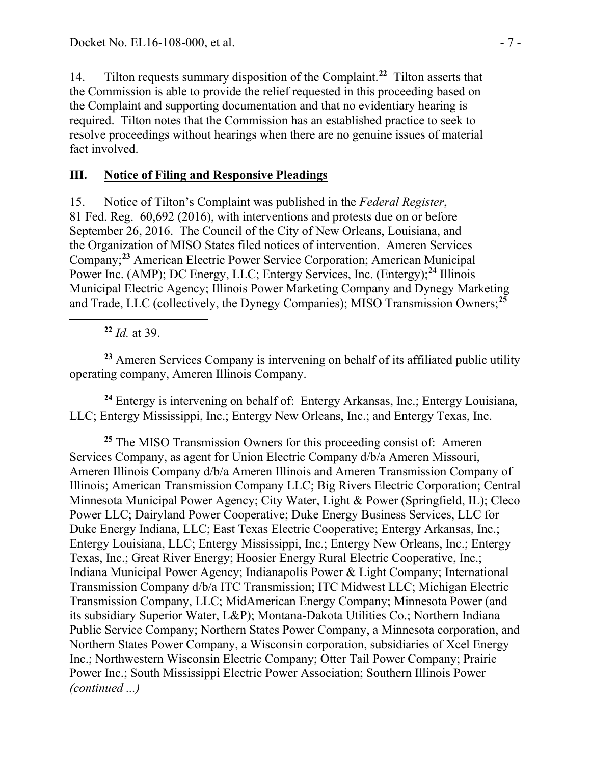14. Tilton requests summary disposition of the Complaint.**[22](#page-6-0)** Tilton asserts that the Commission is able to provide the relief requested in this proceeding based on the Complaint and supporting documentation and that no evidentiary hearing is required. Tilton notes that the Commission has an established practice to seek to resolve proceedings without hearings when there are no genuine issues of material fact involved.

### **III. Notice of Filing and Responsive Pleadings**

15. Notice of Tilton's Complaint was published in the *Federal Register*, 81 Fed. Reg. 60,692 (2016), with interventions and protests due on or before September 26, 2016. The Council of the City of New Orleans, Louisiana, and the Organization of MISO States filed notices of intervention. Ameren Services Company;**[23](#page-6-1)** American Electric Power Service Corporation; American Municipal Power Inc. (AMP); DC Energy, LLC; Entergy Services, Inc. (Entergy);**[24](#page-6-2)** Illinois Municipal Electric Agency; Illinois Power Marketing Company and Dynegy Marketing and Trade, LLC (collectively, the Dynegy Companies); MISO Transmission Owners;**[25](#page-6-3)**

**<sup>22</sup>** *Id.* at 39.

<span id="page-6-0"></span>

<span id="page-6-1"></span>**<sup>23</sup>** Ameren Services Company is intervening on behalf of its affiliated public utility operating company, Ameren Illinois Company.

<span id="page-6-2"></span>**<sup>24</sup>** Entergy is intervening on behalf of: Entergy Arkansas, Inc.; Entergy Louisiana, LLC; Entergy Mississippi, Inc.; Entergy New Orleans, Inc.; and Entergy Texas, Inc.

<span id="page-6-3"></span><sup>25</sup> The MISO Transmission Owners for this proceeding consist of: Ameren Services Company, as agent for Union Electric Company d/b/a Ameren Missouri, Ameren Illinois Company d/b/a Ameren Illinois and Ameren Transmission Company of Illinois; American Transmission Company LLC; Big Rivers Electric Corporation; Central Minnesota Municipal Power Agency; City Water, Light & Power (Springfield, IL); Cleco Power LLC; Dairyland Power Cooperative; Duke Energy Business Services, LLC for Duke Energy Indiana, LLC; East Texas Electric Cooperative; Entergy Arkansas, Inc.; Entergy Louisiana, LLC; Entergy Mississippi, Inc.; Entergy New Orleans, Inc.; Entergy Texas, Inc.; Great River Energy; Hoosier Energy Rural Electric Cooperative, Inc.; Indiana Municipal Power Agency; Indianapolis Power & Light Company; International Transmission Company d/b/a ITC Transmission; ITC Midwest LLC; Michigan Electric Transmission Company, LLC; MidAmerican Energy Company; Minnesota Power (and its subsidiary Superior Water, L&P); Montana-Dakota Utilities Co.; Northern Indiana Public Service Company; Northern States Power Company, a Minnesota corporation, and Northern States Power Company, a Wisconsin corporation, subsidiaries of Xcel Energy Inc.; Northwestern Wisconsin Electric Company; Otter Tail Power Company; Prairie Power Inc.; South Mississippi Electric Power Association; Southern Illinois Power *(continued ...)*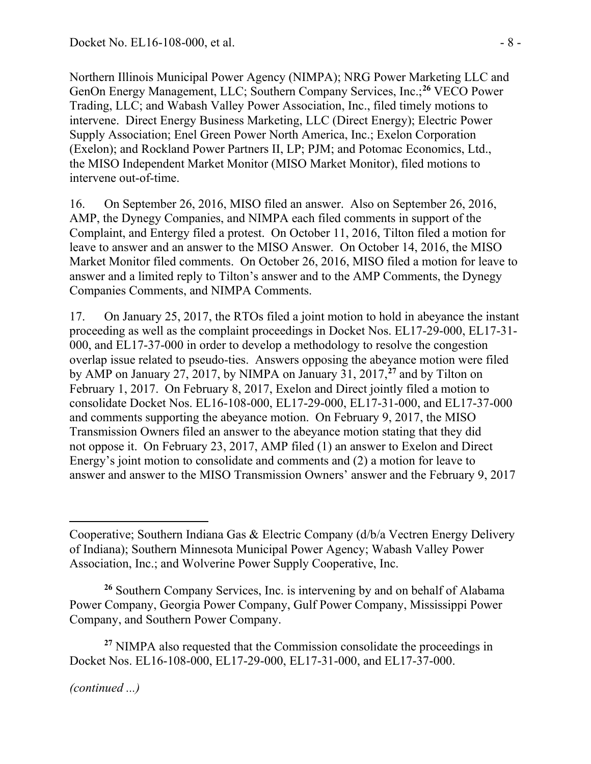Northern Illinois Municipal Power Agency (NIMPA); NRG Power Marketing LLC and GenOn Energy Management, LLC; Southern Company Services, Inc.;**[26](#page-7-0)** VECO Power Trading, LLC; and Wabash Valley Power Association, Inc., filed timely motions to intervene. Direct Energy Business Marketing, LLC (Direct Energy); Electric Power Supply Association; Enel Green Power North America, Inc.; Exelon Corporation (Exelon); and Rockland Power Partners II, LP; PJM; and Potomac Economics, Ltd., the MISO Independent Market Monitor (MISO Market Monitor), filed motions to intervene out-of-time.

16. On September 26, 2016, MISO filed an answer. Also on September 26, 2016, AMP, the Dynegy Companies, and NIMPA each filed comments in support of the Complaint, and Entergy filed a protest. On October 11, 2016, Tilton filed a motion for leave to answer and an answer to the MISO Answer. On October 14, 2016, the MISO Market Monitor filed comments. On October 26, 2016, MISO filed a motion for leave to answer and a limited reply to Tilton's answer and to the AMP Comments, the Dynegy Companies Comments, and NIMPA Comments.

17. On January 25, 2017, the RTOs filed a joint motion to hold in abeyance the instant proceeding as well as the complaint proceedings in Docket Nos. EL17-29-000, EL17-31- 000, and EL17-37-000 in order to develop a methodology to resolve the congestion overlap issue related to pseudo-ties. Answers opposing the abeyance motion were filed by AMP on January 27, 2017, by NIMPA on January 31, 2017,**[27](#page-7-1)** and by Tilton on February 1, 2017. On February 8, 2017, Exelon and Direct jointly filed a motion to consolidate Docket Nos. EL16-108-000, EL17-29-000, EL17-31-000, and EL17-37-000 and comments supporting the abeyance motion. On February 9, 2017, the MISO Transmission Owners filed an answer to the abeyance motion stating that they did not oppose it. On February 23, 2017, AMP filed (1) an answer to Exelon and Direct Energy's joint motion to consolidate and comments and (2) a motion for leave to answer and answer to the MISO Transmission Owners' answer and the February 9, 2017

*(continued ...)*

Cooperative; Southern Indiana Gas & Electric Company (d/b/a Vectren Energy Delivery of Indiana); Southern Minnesota Municipal Power Agency; Wabash Valley Power Association, Inc.; and Wolverine Power Supply Cooperative, Inc.

<span id="page-7-0"></span>**<sup>26</sup>** Southern Company Services, Inc. is intervening by and on behalf of Alabama Power Company, Georgia Power Company, Gulf Power Company, Mississippi Power Company, and Southern Power Company.

<span id="page-7-1"></span>**<sup>27</sup>** NIMPA also requested that the Commission consolidate the proceedings in Docket Nos. EL16-108-000, EL17-29-000, EL17-31-000, and EL17-37-000.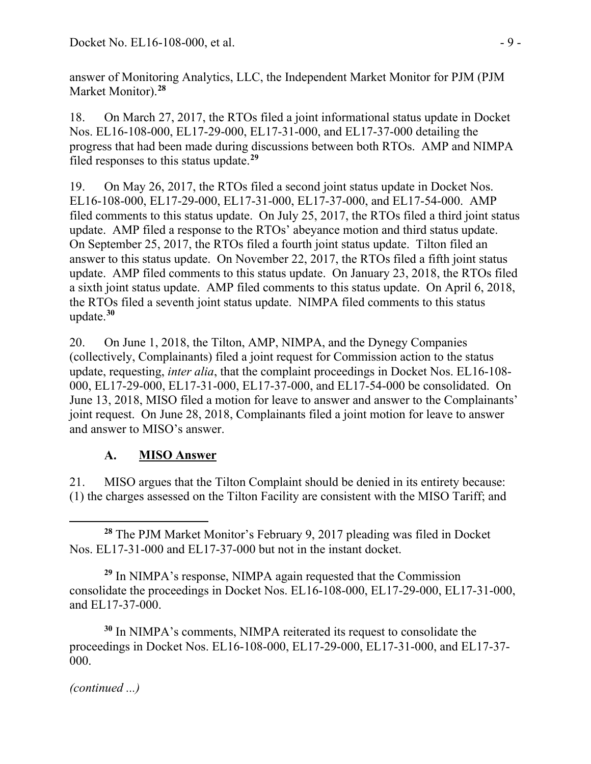answer of Monitoring Analytics, LLC, the Independent Market Monitor for PJM (PJM Market Monitor). **[28](#page-8-0)**

18. On March 27, 2017, the RTOs filed a joint informational status update in Docket Nos. EL16-108-000, EL17-29-000, EL17-31-000, and EL17-37-000 detailing the progress that had been made during discussions between both RTOs. AMP and NIMPA filed responses to this status update.**[29](#page-8-1)**

19. On May 26, 2017, the RTOs filed a second joint status update in Docket Nos. EL16-108-000, EL17-29-000, EL17-31-000, EL17-37-000, and EL17-54-000. AMP filed comments to this status update. On July 25, 2017, the RTOs filed a third joint status update. AMP filed a response to the RTOs' abeyance motion and third status update. On September 25, 2017, the RTOs filed a fourth joint status update. Tilton filed an answer to this status update. On November 22, 2017, the RTOs filed a fifth joint status update. AMP filed comments to this status update. On January 23, 2018, the RTOs filed a sixth joint status update. AMP filed comments to this status update. On April 6, 2018, the RTOs filed a seventh joint status update. NIMPA filed comments to this status update.**[30](#page-8-2)**

20. On June 1, 2018, the Tilton, AMP, NIMPA, and the Dynegy Companies (collectively, Complainants) filed a joint request for Commission action to the status update, requesting, *inter alia*, that the complaint proceedings in Docket Nos. EL16-108- 000, EL17-29-000, EL17-31-000, EL17-37-000, and EL17-54-000 be consolidated. On June 13, 2018, MISO filed a motion for leave to answer and answer to the Complainants' joint request. On June 28, 2018, Complainants filed a joint motion for leave to answer and answer to MISO's answer.

#### ${\bf A}$ . **MISO Answer**

21. MISO argues that the Tilton Complaint should be denied in its entirety because: (1) the charges assessed on the Tilton Facility are consistent with the MISO Tariff; and

<span id="page-8-0"></span> **<sup>28</sup>** The PJM Market Monitor's February 9, 2017 pleading was filed in Docket Nos. EL17-31-000 and EL17-37-000 but not in the instant docket.

<span id="page-8-1"></span>**<sup>29</sup>** In NIMPA's response, NIMPA again requested that the Commission consolidate the proceedings in Docket Nos. EL16-108-000, EL17-29-000, EL17-31-000, and EL17-37-000.

<span id="page-8-2"></span>**<sup>30</sup>** In NIMPA's comments, NIMPA reiterated its request to consolidate the proceedings in Docket Nos. EL16-108-000, EL17-29-000, EL17-31-000, and EL17-37- 000.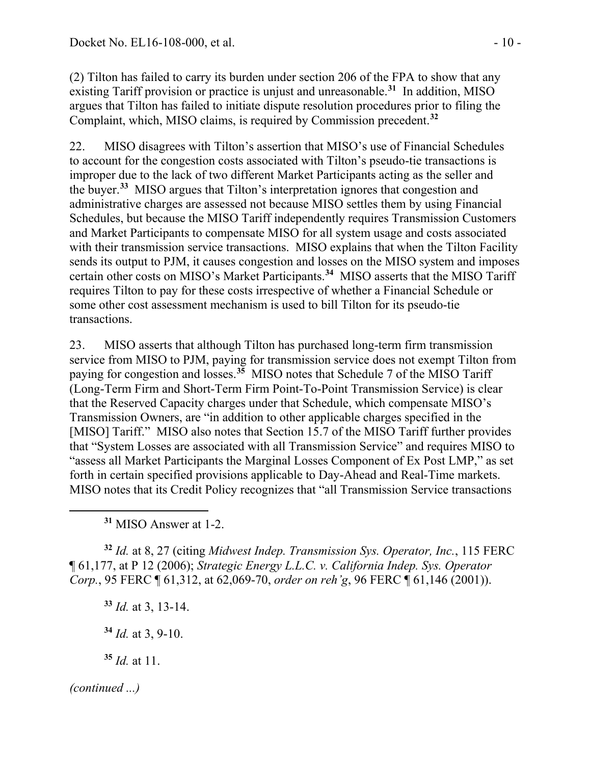(2) Tilton has failed to carry its burden under section 206 of the FPA to show that any existing Tariff provision or practice is unjust and unreasonable.**[31](#page-9-0)** In addition, MISO argues that Tilton has failed to initiate dispute resolution procedures prior to filing the Complaint, which, MISO claims, is required by Commission precedent.**[32](#page-9-1)**

22. MISO disagrees with Tilton's assertion that MISO's use of Financial Schedules to account for the congestion costs associated with Tilton's pseudo-tie transactions is improper due to the lack of two different Market Participants acting as the seller and the buyer.**[33](#page-9-2)** MISO argues that Tilton's interpretation ignores that congestion and administrative charges are assessed not because MISO settles them by using Financial Schedules, but because the MISO Tariff independently requires Transmission Customers and Market Participants to compensate MISO for all system usage and costs associated with their transmission service transactions. MISO explains that when the Tilton Facility sends its output to PJM, it causes congestion and losses on the MISO system and imposes certain other costs on MISO's Market Participants.**[34](#page-9-3)** MISO asserts that the MISO Tariff requires Tilton to pay for these costs irrespective of whether a Financial Schedule or some other cost assessment mechanism is used to bill Tilton for its pseudo-tie transactions.

23. MISO asserts that although Tilton has purchased long-term firm transmission service from MISO to PJM, paying for transmission service does not exempt Tilton from paying for congestion and losses.**[35](#page-9-4)** MISO notes that Schedule 7 of the MISO Tariff (Long-Term Firm and Short-Term Firm Point-To-Point Transmission Service) is clear that the Reserved Capacity charges under that Schedule, which compensate MISO's Transmission Owners, are "in addition to other applicable charges specified in the [MISO] Tariff." MISO also notes that Section 15.7 of the MISO Tariff further provides that "System Losses are associated with all Transmission Service" and requires MISO to "assess all Market Participants the Marginal Losses Component of Ex Post LMP," as set forth in certain specified provisions applicable to Day-Ahead and Real-Time markets. MISO notes that its Credit Policy recognizes that "all Transmission Service transactions

**<sup>31</sup>** MISO Answer at 1-2.

<span id="page-9-2"></span><span id="page-9-1"></span><span id="page-9-0"></span>**<sup>32</sup>** *Id.* at 8, 27 (citing *Midwest Indep. Transmission Sys. Operator, Inc.*, 115 FERC ¶ 61,177, at P 12 (2006); *Strategic Energy L.L.C. v. California Indep. Sys. Operator Corp.*, 95 FERC ¶ 61,312, at 62,069-70, *order on reh'g*, 96 FERC ¶ 61,146 (2001)).

**<sup>33</sup>** *Id.* at 3, 13-14.

**<sup>34</sup>** *Id.* at 3, 9-10.

**<sup>35</sup>** *Id.* at 11.

<span id="page-9-4"></span><span id="page-9-3"></span>*(continued ...)*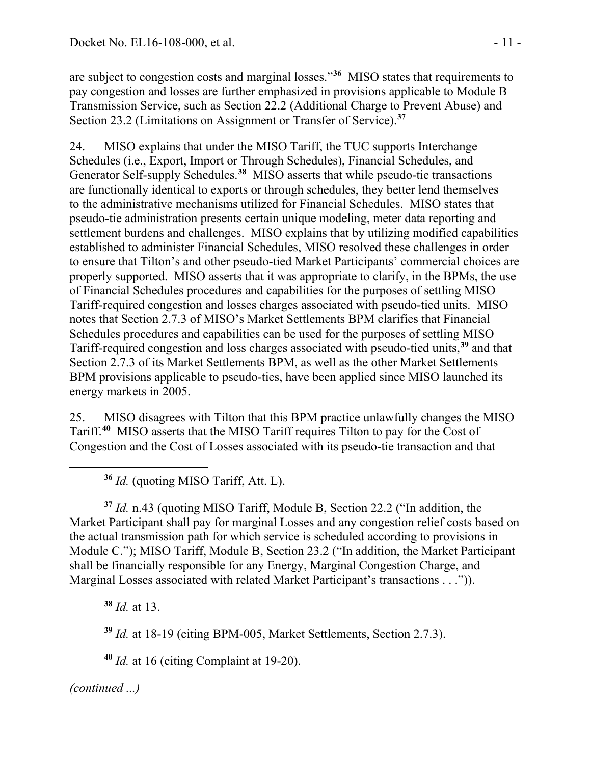are subject to congestion costs and marginal losses."**[36](#page-10-0)** MISO states that requirements to pay congestion and losses are further emphasized in provisions applicable to Module B Transmission Service, such as Section 22.2 (Additional Charge to Prevent Abuse) and Section 23.2 (Limitations on Assignment or Transfer of Service).**[37](#page-10-1)**

24. MISO explains that under the MISO Tariff, the TUC supports Interchange Schedules (i.e., Export, Import or Through Schedules), Financial Schedules, and Generator Self-supply Schedules.**[38](#page-10-2)** MISO asserts that while pseudo-tie transactions are functionally identical to exports or through schedules, they better lend themselves to the administrative mechanisms utilized for Financial Schedules. MISO states that pseudo-tie administration presents certain unique modeling, meter data reporting and settlement burdens and challenges. MISO explains that by utilizing modified capabilities established to administer Financial Schedules, MISO resolved these challenges in order to ensure that Tilton's and other pseudo-tied Market Participants' commercial choices are properly supported. MISO asserts that it was appropriate to clarify, in the BPMs, the use of Financial Schedules procedures and capabilities for the purposes of settling MISO Tariff-required congestion and losses charges associated with pseudo-tied units. MISO notes that Section 2.7.3 of MISO's Market Settlements BPM clarifies that Financial Schedules procedures and capabilities can be used for the purposes of settling MISO Tariff-required congestion and loss charges associated with pseudo-tied units,**[39](#page-10-3)** and that Section 2.7.3 of its Market Settlements BPM, as well as the other Market Settlements BPM provisions applicable to pseudo-ties, have been applied since MISO launched its energy markets in 2005.

25. MISO disagrees with Tilton that this BPM practice unlawfully changes the MISO Tariff.**[40](#page-10-4)** MISO asserts that the MISO Tariff requires Tilton to pay for the Cost of Congestion and the Cost of Losses associated with its pseudo-tie transaction and that

**<sup>36</sup>** *Id.* (quoting MISO Tariff, Att. L).

<span id="page-10-1"></span>**<sup>37</sup>** *Id.* n.43 (quoting MISO Tariff, Module B, Section 22.2 ("In addition, the Market Participant shall pay for marginal Losses and any congestion relief costs based on the actual transmission path for which service is scheduled according to provisions in Module C."); MISO Tariff, Module B, Section 23.2 ("In addition, the Market Participant shall be financially responsible for any Energy, Marginal Congestion Charge, and Marginal Losses associated with related Market Participant's transactions . . .")).

<span id="page-10-2"></span>**<sup>38</sup>** *Id.* at 13.

**<sup>39</sup>** *Id.* at 18-19 (citing BPM-005, Market Settlements, Section 2.7.3).

**<sup>40</sup>** *Id.* at 16 (citing Complaint at 19-20).

<span id="page-10-4"></span><span id="page-10-3"></span>*(continued ...)*

<span id="page-10-0"></span>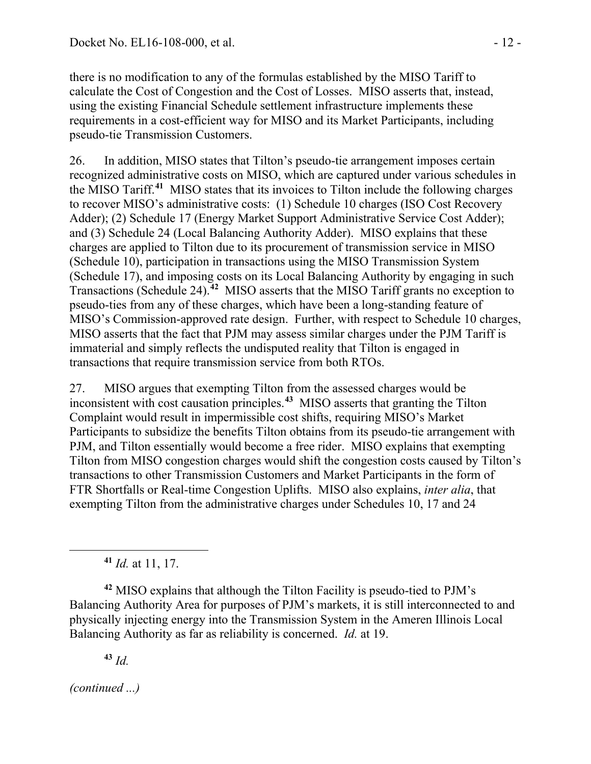there is no modification to any of the formulas established by the MISO Tariff to calculate the Cost of Congestion and the Cost of Losses. MISO asserts that, instead, using the existing Financial Schedule settlement infrastructure implements these requirements in a cost-efficient way for MISO and its Market Participants, including pseudo-tie Transmission Customers.

26. In addition, MISO states that Tilton's pseudo-tie arrangement imposes certain recognized administrative costs on MISO, which are captured under various schedules in the MISO Tariff.**[41](#page-11-0)** MISO states that its invoices to Tilton include the following charges to recover MISO's administrative costs: (1) Schedule 10 charges (ISO Cost Recovery Adder); (2) Schedule 17 (Energy Market Support Administrative Service Cost Adder); and (3) Schedule 24 (Local Balancing Authority Adder). MISO explains that these charges are applied to Tilton due to its procurement of transmission service in MISO (Schedule 10), participation in transactions using the MISO Transmission System (Schedule 17), and imposing costs on its Local Balancing Authority by engaging in such Transactions (Schedule 24).**[42](#page-11-1)** MISO asserts that the MISO Tariff grants no exception to pseudo-ties from any of these charges, which have been a long-standing feature of MISO's Commission-approved rate design. Further, with respect to Schedule 10 charges, MISO asserts that the fact that PJM may assess similar charges under the PJM Tariff is immaterial and simply reflects the undisputed reality that Tilton is engaged in transactions that require transmission service from both RTOs.

27. MISO argues that exempting Tilton from the assessed charges would be inconsistent with cost causation principles. **[43](#page-11-2)** MISO asserts that granting the Tilton Complaint would result in impermissible cost shifts, requiring MISO's Market Participants to subsidize the benefits Tilton obtains from its pseudo-tie arrangement with PJM, and Tilton essentially would become a free rider. MISO explains that exempting Tilton from MISO congestion charges would shift the congestion costs caused by Tilton's transactions to other Transmission Customers and Market Participants in the form of FTR Shortfalls or Real-time Congestion Uplifts. MISO also explains, *inter alia*, that exempting Tilton from the administrative charges under Schedules 10, 17 and 24

**<sup>41</sup>** *Id.* at 11, 17.

<span id="page-11-1"></span><span id="page-11-0"></span>**<sup>42</sup>** MISO explains that although the Tilton Facility is pseudo-tied to PJM's Balancing Authority Area for purposes of PJM's markets, it is still interconnected to and physically injecting energy into the Transmission System in the Ameren Illinois Local Balancing Authority as far as reliability is concerned. *Id.* at 19.

**<sup>43</sup>** *Id.*

<span id="page-11-2"></span>*(continued ...)*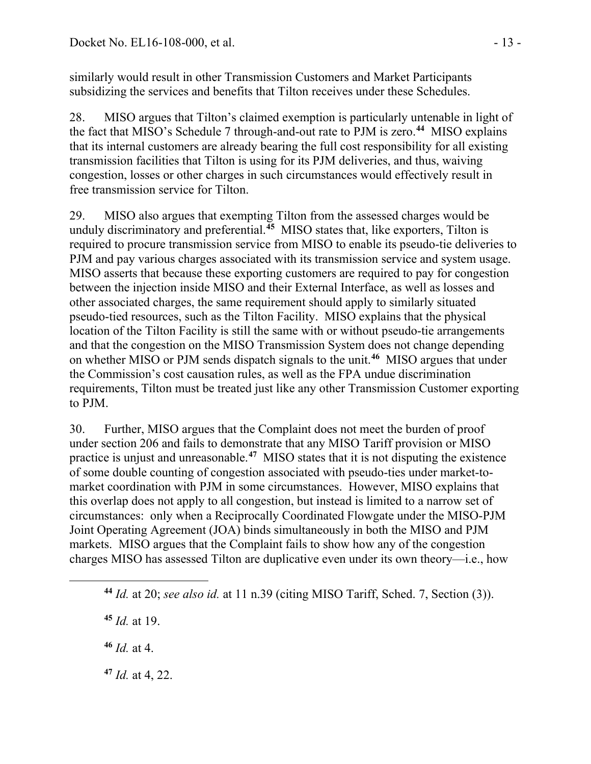similarly would result in other Transmission Customers and Market Participants subsidizing the services and benefits that Tilton receives under these Schedules.

28. MISO argues that Tilton's claimed exemption is particularly untenable in light of the fact that MISO's Schedule 7 through-and-out rate to PJM is zero.**[44](#page-12-0)** MISO explains that its internal customers are already bearing the full cost responsibility for all existing transmission facilities that Tilton is using for its PJM deliveries, and thus, waiving congestion, losses or other charges in such circumstances would effectively result in free transmission service for Tilton.

29. MISO also argues that exempting Tilton from the assessed charges would be unduly discriminatory and preferential.**[45](#page-12-1)** MISO states that, like exporters, Tilton is required to procure transmission service from MISO to enable its pseudo-tie deliveries to PJM and pay various charges associated with its transmission service and system usage. MISO asserts that because these exporting customers are required to pay for congestion between the injection inside MISO and their External Interface, as well as losses and other associated charges, the same requirement should apply to similarly situated pseudo-tied resources, such as the Tilton Facility. MISO explains that the physical location of the Tilton Facility is still the same with or without pseudo-tie arrangements and that the congestion on the MISO Transmission System does not change depending on whether MISO or PJM sends dispatch signals to the unit.**[46](#page-12-2)** MISO argues that under the Commission's cost causation rules, as well as the FPA undue discrimination requirements, Tilton must be treated just like any other Transmission Customer exporting to PJM.

30. Further, MISO argues that the Complaint does not meet the burden of proof under section 206 and fails to demonstrate that any MISO Tariff provision or MISO practice is unjust and unreasonable.**[47](#page-12-3)** MISO states that it is not disputing the existence of some double counting of congestion associated with pseudo-ties under market-tomarket coordination with PJM in some circumstances. However, MISO explains that this overlap does not apply to all congestion, but instead is limited to a narrow set of circumstances: only when a Reciprocally Coordinated Flowgate under the MISO-PJM Joint Operating Agreement (JOA) binds simultaneously in both the MISO and PJM markets. MISO argues that the Complaint fails to show how any of the congestion charges MISO has assessed Tilton are duplicative even under its own theory—i.e., how

**<sup>45</sup>** *Id.* at 19.

<span id="page-12-2"></span><span id="page-12-1"></span><span id="page-12-0"></span> $\overline{a}$ 

**<sup>46</sup>** *Id.* at 4.

<span id="page-12-3"></span>**<sup>47</sup>** *Id.* at 4, 22.

**<sup>44</sup>** *Id.* at 20; *see also id.* at 11 n.39 (citing MISO Tariff, Sched. 7, Section (3)).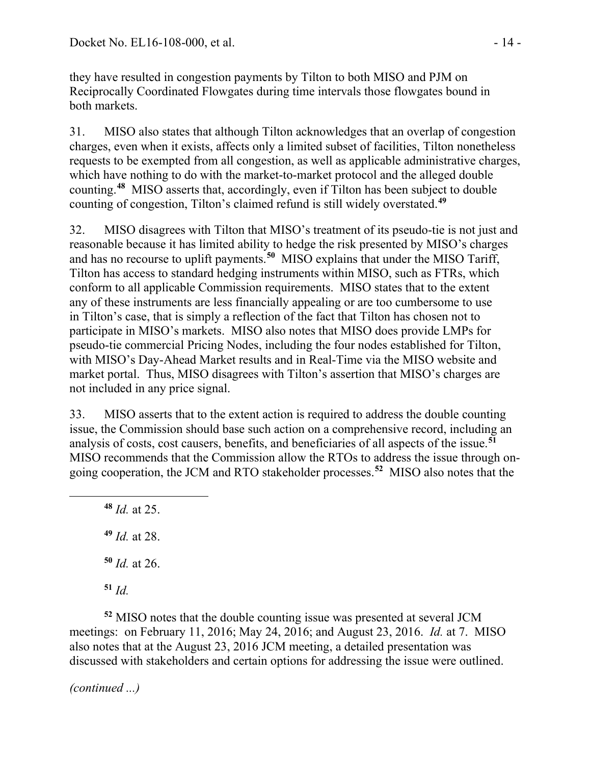they have resulted in congestion payments by Tilton to both MISO and PJM on Reciprocally Coordinated Flowgates during time intervals those flowgates bound in both markets.

31. MISO also states that although Tilton acknowledges that an overlap of congestion charges, even when it exists, affects only a limited subset of facilities, Tilton nonetheless requests to be exempted from all congestion, as well as applicable administrative charges, which have nothing to do with the market-to-market protocol and the alleged double counting.**[48](#page-13-0)** MISO asserts that, accordingly, even if Tilton has been subject to double counting of congestion, Tilton's claimed refund is still widely overstated.**[49](#page-13-1)**

32. MISO disagrees with Tilton that MISO's treatment of its pseudo-tie is not just and reasonable because it has limited ability to hedge the risk presented by MISO's charges and has no recourse to uplift payments.**[50](#page-13-2)** MISO explains that under the MISO Tariff, Tilton has access to standard hedging instruments within MISO, such as FTRs, which conform to all applicable Commission requirements. MISO states that to the extent any of these instruments are less financially appealing or are too cumbersome to use in Tilton's case, that is simply a reflection of the fact that Tilton has chosen not to participate in MISO's markets. MISO also notes that MISO does provide LMPs for pseudo-tie commercial Pricing Nodes, including the four nodes established for Tilton, with MISO's Day-Ahead Market results and in Real-Time via the MISO website and market portal. Thus, MISO disagrees with Tilton's assertion that MISO's charges are not included in any price signal.

33. MISO asserts that to the extent action is required to address the double counting issue, the Commission should base such action on a comprehensive record, including an analysis of costs, cost causers, benefits, and beneficiaries of all aspects of the issue.**[51](#page-13-3)** MISO recommends that the Commission allow the RTOs to address the issue through ongoing cooperation, the JCM and RTO stakeholder processes.**[52](#page-13-4)** MISO also notes that the

<span id="page-13-0"></span> *Id.* at 25. *Id.* at 28. *Id.* at 26. **<sup>51</sup>** *Id.*

<span id="page-13-4"></span><span id="page-13-3"></span><span id="page-13-2"></span><span id="page-13-1"></span>**<sup>52</sup>** MISO notes that the double counting issue was presented at several JCM meetings: on February 11, 2016; May 24, 2016; and August 23, 2016. *Id.* at 7. MISO also notes that at the August 23, 2016 JCM meeting, a detailed presentation was discussed with stakeholders and certain options for addressing the issue were outlined.

*(continued ...)*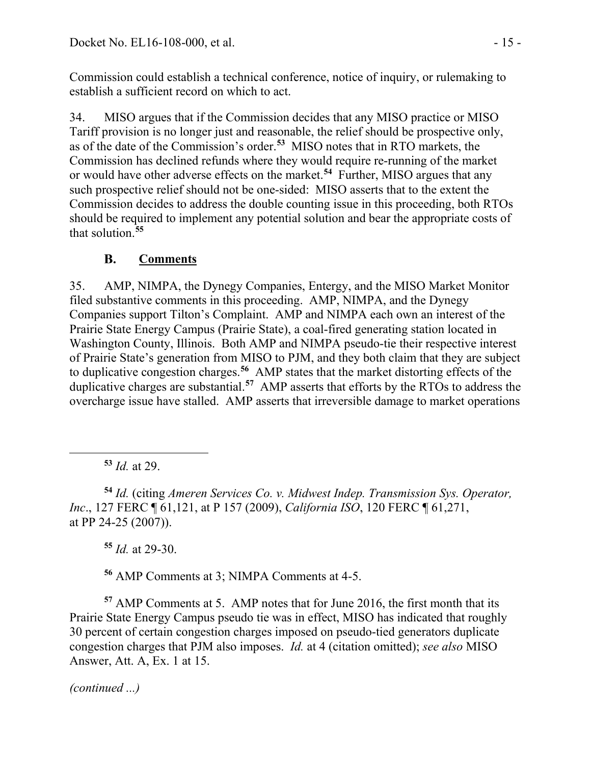Commission could establish a technical conference, notice of inquiry, or rulemaking to establish a sufficient record on which to act.

34. MISO argues that if the Commission decides that any MISO practice or MISO Tariff provision is no longer just and reasonable, the relief should be prospective only, as of the date of the Commission's order. **[53](#page-14-0)** MISO notes that in RTO markets, the Commission has declined refunds where they would require re-running of the market or would have other adverse effects on the market.**[54](#page-14-1)** Further, MISO argues that any such prospective relief should not be one-sided: MISO asserts that to the extent the Commission decides to address the double counting issue in this proceeding, both RTOs should be required to implement any potential solution and bear the appropriate costs of that solution.**[55](#page-14-2)**

#### **B. Comments**

35. AMP, NIMPA, the Dynegy Companies, Entergy, and the MISO Market Monitor filed substantive comments in this proceeding. AMP, NIMPA, and the Dynegy Companies support Tilton's Complaint. AMP and NIMPA each own an interest of the Prairie State Energy Campus (Prairie State), a coal-fired generating station located in Washington County, Illinois. Both AMP and NIMPA pseudo-tie their respective interest of Prairie State's generation from MISO to PJM, and they both claim that they are subject to duplicative congestion charges.**[56](#page-14-3)** AMP states that the market distorting effects of the duplicative charges are substantial.**[57](#page-14-4)** AMP asserts that efforts by the RTOs to address the overcharge issue have stalled. AMP asserts that irreversible damage to market operations

**<sup>53</sup>** *Id.* at 29.

<span id="page-14-0"></span>

<span id="page-14-1"></span>**<sup>54</sup>** *Id.* (citing *Ameren Services Co. v. Midwest Indep. Transmission Sys. Operator, Inc*., 127 FERC ¶ 61,121, at P 157 (2009), *California ISO*, 120 FERC ¶ 61,271, at PP 24-25 (2007)).

**<sup>55</sup>** *Id.* at 29-30.

**<sup>56</sup>** AMP Comments at 3; NIMPA Comments at 4-5.

<span id="page-14-4"></span><span id="page-14-3"></span><span id="page-14-2"></span>**<sup>57</sup>** AMP Comments at 5. AMP notes that for June 2016, the first month that its Prairie State Energy Campus pseudo tie was in effect, MISO has indicated that roughly 30 percent of certain congestion charges imposed on pseudo-tied generators duplicate congestion charges that PJM also imposes. *Id.* at 4 (citation omitted); *see also* MISO Answer, Att. A, Ex. 1 at 15.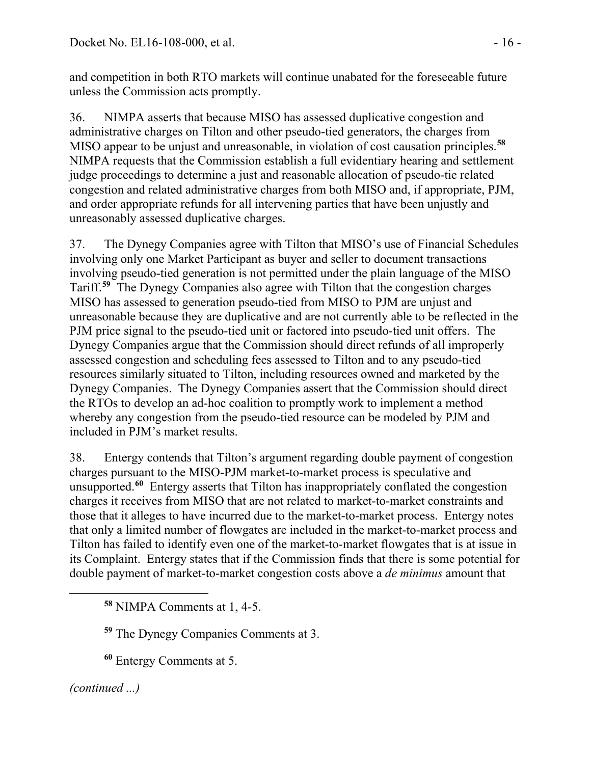and competition in both RTO markets will continue unabated for the foreseeable future unless the Commission acts promptly.

36. NIMPA asserts that because MISO has assessed duplicative congestion and administrative charges on Tilton and other pseudo-tied generators, the charges from MISO appear to be unjust and unreasonable, in violation of cost causation principles. **[58](#page-15-0)** NIMPA requests that the Commission establish a full evidentiary hearing and settlement judge proceedings to determine a just and reasonable allocation of pseudo-tie related congestion and related administrative charges from both MISO and, if appropriate, PJM, and order appropriate refunds for all intervening parties that have been unjustly and unreasonably assessed duplicative charges.

37. The Dynegy Companies agree with Tilton that MISO's use of Financial Schedules involving only one Market Participant as buyer and seller to document transactions involving pseudo-tied generation is not permitted under the plain language of the MISO Tariff.**[59](#page-15-1)** The Dynegy Companies also agree with Tilton that the congestion charges MISO has assessed to generation pseudo-tied from MISO to PJM are unjust and unreasonable because they are duplicative and are not currently able to be reflected in the PJM price signal to the pseudo-tied unit or factored into pseudo-tied unit offers. The Dynegy Companies argue that the Commission should direct refunds of all improperly assessed congestion and scheduling fees assessed to Tilton and to any pseudo-tied resources similarly situated to Tilton, including resources owned and marketed by the Dynegy Companies. The Dynegy Companies assert that the Commission should direct the RTOs to develop an ad-hoc coalition to promptly work to implement a method whereby any congestion from the pseudo-tied resource can be modeled by PJM and included in PJM's market results.

38. Entergy contends that Tilton's argument regarding double payment of congestion charges pursuant to the MISO-PJM market-to-market process is speculative and unsupported.**[60](#page-15-2)** Entergy asserts that Tilton has inappropriately conflated the congestion charges it receives from MISO that are not related to market-to-market constraints and those that it alleges to have incurred due to the market-to-market process. Entergy notes that only a limited number of flowgates are included in the market-to-market process and Tilton has failed to identify even one of the market-to-market flowgates that is at issue in its Complaint. Entergy states that if the Commission finds that there is some potential for double payment of market-to-market congestion costs above a *de minimus* amount that

**<sup>59</sup>** The Dynegy Companies Comments at 3.

**<sup>60</sup>** Entergy Comments at 5.

<span id="page-15-2"></span><span id="page-15-1"></span>*(continued ...)*

<span id="page-15-0"></span>**<sup>58</sup>** NIMPA Comments at 1, 4-5.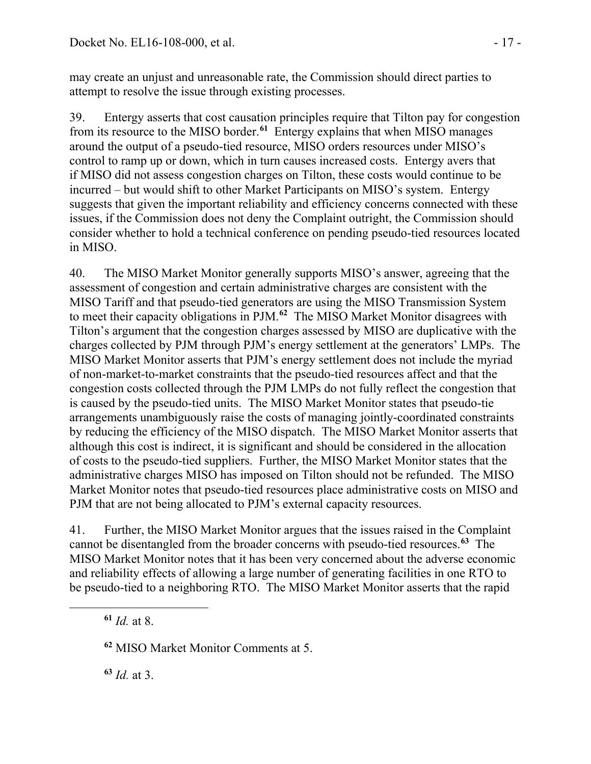may create an unjust and unreasonable rate, the Commission should direct parties to attempt to resolve the issue through existing processes.

39. Entergy asserts that cost causation principles require that Tilton pay for congestion from its resource to the MISO border.**[61](#page-16-0)** Entergy explains that when MISO manages around the output of a pseudo-tied resource, MISO orders resources under MISO's control to ramp up or down, which in turn causes increased costs. Entergy avers that if MISO did not assess congestion charges on Tilton, these costs would continue to be incurred – but would shift to other Market Participants on MISO's system. Entergy suggests that given the important reliability and efficiency concerns connected with these issues, if the Commission does not deny the Complaint outright, the Commission should consider whether to hold a technical conference on pending pseudo-tied resources located in MISO.

40. The MISO Market Monitor generally supports MISO's answer, agreeing that the assessment of congestion and certain administrative charges are consistent with the MISO Tariff and that pseudo-tied generators are using the MISO Transmission System to meet their capacity obligations in PJM.**[62](#page-16-1)** The MISO Market Monitor disagrees with Tilton's argument that the congestion charges assessed by MISO are duplicative with the charges collected by PJM through PJM's energy settlement at the generators' LMPs. The MISO Market Monitor asserts that PJM's energy settlement does not include the myriad of non-market-to-market constraints that the pseudo-tied resources affect and that the congestion costs collected through the PJM LMPs do not fully reflect the congestion that is caused by the pseudo-tied units. The MISO Market Monitor states that pseudo-tie arrangements unambiguously raise the costs of managing jointly-coordinated constraints by reducing the efficiency of the MISO dispatch. The MISO Market Monitor asserts that although this cost is indirect, it is significant and should be considered in the allocation of costs to the pseudo-tied suppliers. Further, the MISO Market Monitor states that the administrative charges MISO has imposed on Tilton should not be refunded. The MISO Market Monitor notes that pseudo-tied resources place administrative costs on MISO and PJM that are not being allocated to PJM's external capacity resources.

41. Further, the MISO Market Monitor argues that the issues raised in the Complaint cannot be disentangled from the broader concerns with pseudo-tied resources.**[63](#page-16-2)** The MISO Market Monitor notes that it has been very concerned about the adverse economic and reliability effects of allowing a large number of generating facilities in one RTO to be pseudo-tied to a neighboring RTO. The MISO Market Monitor asserts that the rapid

**<sup>61</sup>** *Id.* at 8.

<span id="page-16-2"></span><span id="page-16-1"></span><span id="page-16-0"></span>

**<sup>62</sup>** MISO Market Monitor Comments at 5.

**<sup>63</sup>** *Id.* at 3.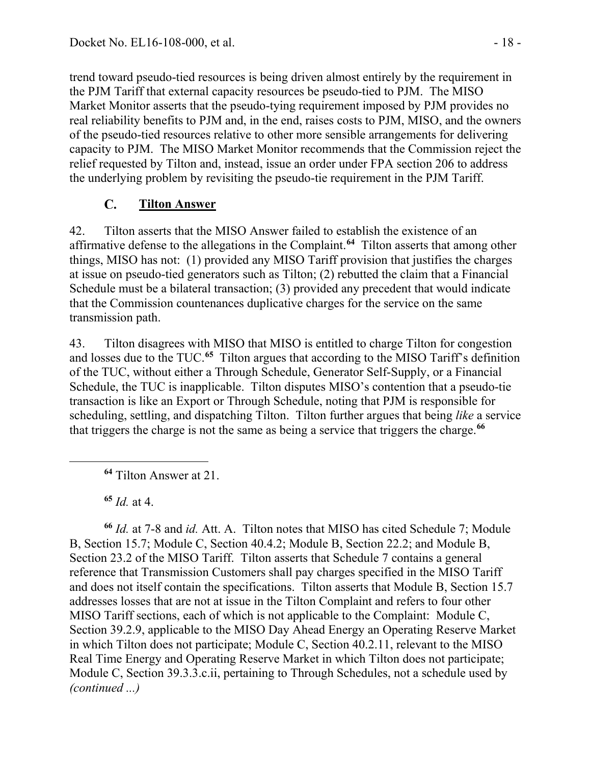trend toward pseudo-tied resources is being driven almost entirely by the requirement in the PJM Tariff that external capacity resources be pseudo-tied to PJM. The MISO Market Monitor asserts that the pseudo-tying requirement imposed by PJM provides no real reliability benefits to PJM and, in the end, raises costs to PJM, MISO, and the owners of the pseudo-tied resources relative to other more sensible arrangements for delivering capacity to PJM. The MISO Market Monitor recommends that the Commission reject the relief requested by Tilton and, instead, issue an order under FPA section 206 to address the underlying problem by revisiting the pseudo-tie requirement in the PJM Tariff.

#### $\mathbf{C}$ . **Tilton Answer**

42. Tilton asserts that the MISO Answer failed to establish the existence of an affirmative defense to the allegations in the Complaint.**[64](#page-17-0)** Tilton asserts that among other things, MISO has not: (1) provided any MISO Tariff provision that justifies the charges at issue on pseudo-tied generators such as Tilton; (2) rebutted the claim that a Financial Schedule must be a bilateral transaction; (3) provided any precedent that would indicate that the Commission countenances duplicative charges for the service on the same transmission path.

43. Tilton disagrees with MISO that MISO is entitled to charge Tilton for congestion and losses due to the TUC.**[65](#page-17-1)** Tilton argues that according to the MISO Tariff's definition of the TUC, without either a Through Schedule, Generator Self-Supply, or a Financial Schedule, the TUC is inapplicable. Tilton disputes MISO's contention that a pseudo-tie transaction is like an Export or Through Schedule, noting that PJM is responsible for scheduling, settling, and dispatching Tilton. Tilton further argues that being *like* a service that triggers the charge is not the same as being a service that triggers the charge.**[66](#page-17-2)**

**<sup>64</sup>** Tilton Answer at 21.

**<sup>65</sup>** *Id.* at 4.

<span id="page-17-0"></span> $\overline{a}$ 

<span id="page-17-2"></span><span id="page-17-1"></span>**<sup>66</sup>** *Id.* at 7-8 and *id.* Att. A. Tilton notes that MISO has cited Schedule 7; Module B, Section 15.7; Module C, Section 40.4.2; Module B, Section 22.2; and Module B, Section 23.2 of the MISO Tariff. Tilton asserts that Schedule 7 contains a general reference that Transmission Customers shall pay charges specified in the MISO Tariff and does not itself contain the specifications. Tilton asserts that Module B, Section 15.7 addresses losses that are not at issue in the Tilton Complaint and refers to four other MISO Tariff sections, each of which is not applicable to the Complaint: Module C, Section 39.2.9, applicable to the MISO Day Ahead Energy an Operating Reserve Market in which Tilton does not participate; Module C, Section 40.2.11, relevant to the MISO Real Time Energy and Operating Reserve Market in which Tilton does not participate; Module C, Section 39.3.3.c.ii, pertaining to Through Schedules, not a schedule used by *(continued ...)*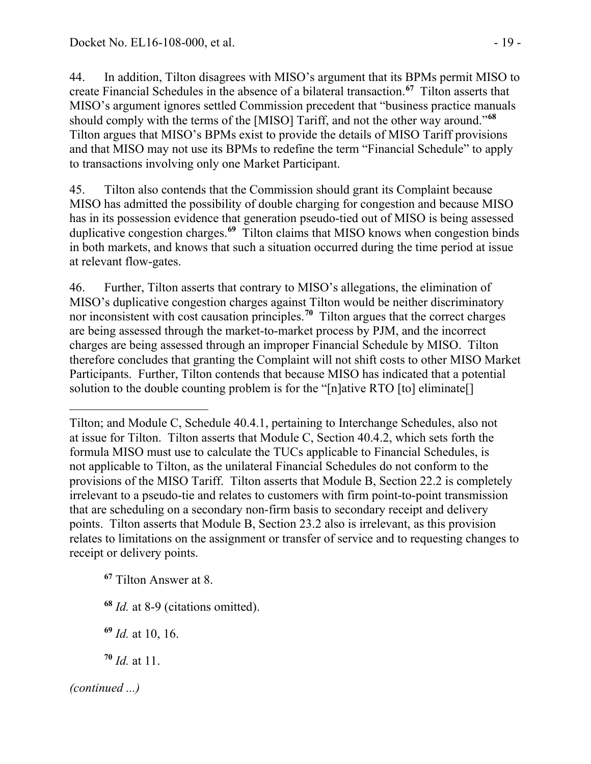44. In addition, Tilton disagrees with MISO's argument that its BPMs permit MISO to create Financial Schedules in the absence of a bilateral transaction.**[67](#page-18-0)** Tilton asserts that MISO's argument ignores settled Commission precedent that "business practice manuals should comply with the terms of the [MISO] Tariff, and not the other way around."**[68](#page-18-1)** Tilton argues that MISO's BPMs exist to provide the details of MISO Tariff provisions and that MISO may not use its BPMs to redefine the term "Financial Schedule" to apply to transactions involving only one Market Participant.

45. Tilton also contends that the Commission should grant its Complaint because MISO has admitted the possibility of double charging for congestion and because MISO has in its possession evidence that generation pseudo-tied out of MISO is being assessed duplicative congestion charges.**[69](#page-18-2)** Tilton claims that MISO knows when congestion binds in both markets, and knows that such a situation occurred during the time period at issue at relevant flow-gates.

46. Further, Tilton asserts that contrary to MISO's allegations, the elimination of MISO's duplicative congestion charges against Tilton would be neither discriminatory nor inconsistent with cost causation principles.**[70](#page-18-3)** Tilton argues that the correct charges are being assessed through the market-to-market process by PJM, and the incorrect charges are being assessed through an improper Financial Schedule by MISO. Tilton therefore concludes that granting the Complaint will not shift costs to other MISO Market Participants. Further, Tilton contends that because MISO has indicated that a potential solution to the double counting problem is for the "[n]ative RTO [to] eliminate[]

<span id="page-18-0"></span>**<sup>67</sup>** Tilton Answer at 8.

<span id="page-18-1"></span>**<sup>68</sup>** *Id.* at 8-9 (citations omitted).

<span id="page-18-2"></span>**<sup>69</sup>** *Id.* at 10, 16.

<span id="page-18-3"></span>**<sup>70</sup>** *Id.* at 11.

 $\overline{a}$ Tilton; and Module C, Schedule 40.4.1, pertaining to Interchange Schedules, also not at issue for Tilton. Tilton asserts that Module C, Section 40.4.2, which sets forth the formula MISO must use to calculate the TUCs applicable to Financial Schedules, is not applicable to Tilton, as the unilateral Financial Schedules do not conform to the provisions of the MISO Tariff. Tilton asserts that Module B, Section 22.2 is completely irrelevant to a pseudo-tie and relates to customers with firm point-to-point transmission that are scheduling on a secondary non-firm basis to secondary receipt and delivery points. Tilton asserts that Module B, Section 23.2 also is irrelevant, as this provision relates to limitations on the assignment or transfer of service and to requesting changes to receipt or delivery points.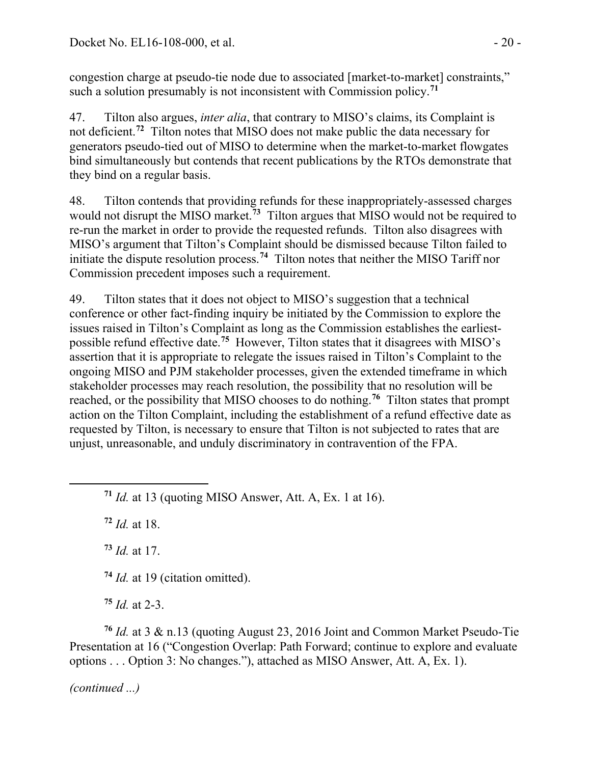congestion charge at pseudo-tie node due to associated [market-to-market] constraints," such a solution presumably is not inconsistent with Commission policy.**[71](#page-19-0)**

47. Tilton also argues, *inter alia*, that contrary to MISO's claims, its Complaint is not deficient.**[72](#page-19-1)** Tilton notes that MISO does not make public the data necessary for generators pseudo-tied out of MISO to determine when the market-to-market flowgates bind simultaneously but contends that recent publications by the RTOs demonstrate that they bind on a regular basis.

48. Tilton contends that providing refunds for these inappropriately-assessed charges would not disrupt the MISO market. **[73](#page-19-2)** Tilton argues that MISO would not be required to re-run the market in order to provide the requested refunds. Tilton also disagrees with MISO's argument that Tilton's Complaint should be dismissed because Tilton failed to initiate the dispute resolution process.**[74](#page-19-3)** Tilton notes that neither the MISO Tariff nor Commission precedent imposes such a requirement.

49. Tilton states that it does not object to MISO's suggestion that a technical conference or other fact-finding inquiry be initiated by the Commission to explore the issues raised in Tilton's Complaint as long as the Commission establishes the earliestpossible refund effective date.**[75](#page-19-4)** However, Tilton states that it disagrees with MISO's assertion that it is appropriate to relegate the issues raised in Tilton's Complaint to the ongoing MISO and PJM stakeholder processes, given the extended timeframe in which stakeholder processes may reach resolution, the possibility that no resolution will be reached, or the possibility that MISO chooses to do nothing.**[76](#page-19-5)** Tilton states that prompt action on the Tilton Complaint, including the establishment of a refund effective date as requested by Tilton, is necessary to ensure that Tilton is not subjected to rates that are unjust, unreasonable, and unduly discriminatory in contravention of the FPA.

**<sup>71</sup>** *Id.* at 13 (quoting MISO Answer, Att. A, Ex. 1 at 16).

**<sup>72</sup>** *Id.* at 18.

<span id="page-19-2"></span><span id="page-19-1"></span><span id="page-19-0"></span>

**<sup>73</sup>** *Id.* at 17.

**<sup>74</sup>** *Id.* at 19 (citation omitted).

**<sup>75</sup>** *Id.* at 2-3.

<span id="page-19-5"></span><span id="page-19-4"></span><span id="page-19-3"></span>**<sup>76</sup>** *Id.* at 3 & n.13 (quoting August 23, 2016 Joint and Common Market Pseudo-Tie Presentation at 16 ("Congestion Overlap: Path Forward; continue to explore and evaluate options . . . Option 3: No changes."), attached as MISO Answer, Att. A, Ex. 1).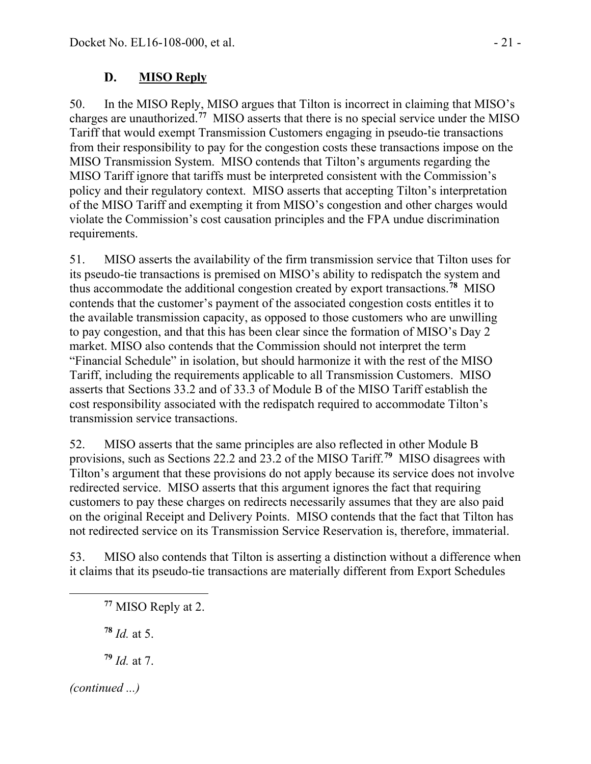#### D. **MISO Reply**

50. In the MISO Reply, MISO argues that Tilton is incorrect in claiming that MISO's charges are unauthorized.**[77](#page-20-0)** MISO asserts that there is no special service under the MISO Tariff that would exempt Transmission Customers engaging in pseudo-tie transactions from their responsibility to pay for the congestion costs these transactions impose on the MISO Transmission System. MISO contends that Tilton's arguments regarding the MISO Tariff ignore that tariffs must be interpreted consistent with the Commission's policy and their regulatory context. MISO asserts that accepting Tilton's interpretation of the MISO Tariff and exempting it from MISO's congestion and other charges would violate the Commission's cost causation principles and the FPA undue discrimination requirements.

51. MISO asserts the availability of the firm transmission service that Tilton uses for its pseudo-tie transactions is premised on MISO's ability to redispatch the system and thus accommodate the additional congestion created by export transactions.**[78](#page-20-1)** MISO contends that the customer's payment of the associated congestion costs entitles it to the available transmission capacity, as opposed to those customers who are unwilling to pay congestion, and that this has been clear since the formation of MISO's Day 2 market. MISO also contends that the Commission should not interpret the term "Financial Schedule" in isolation, but should harmonize it with the rest of the MISO Tariff, including the requirements applicable to all Transmission Customers. MISO asserts that Sections 33.2 and of 33.3 of Module B of the MISO Tariff establish the cost responsibility associated with the redispatch required to accommodate Tilton's transmission service transactions.

52. MISO asserts that the same principles are also reflected in other Module B provisions, such as Sections 22.2 and 23.2 of the MISO Tariff.**[79](#page-20-2)** MISO disagrees with Tilton's argument that these provisions do not apply because its service does not involve redirected service. MISO asserts that this argument ignores the fact that requiring customers to pay these charges on redirects necessarily assumes that they are also paid on the original Receipt and Delivery Points. MISO contends that the fact that Tilton has not redirected service on its Transmission Service Reservation is, therefore, immaterial.

<span id="page-20-0"></span>53. MISO also contends that Tilton is asserting a distinction without a difference when it claims that its pseudo-tie transactions are materially different from Export Schedules

- **<sup>78</sup>** *Id.* at 5.
- **<sup>79</sup>** *Id.* at 7.

<span id="page-20-2"></span><span id="page-20-1"></span>*(continued ...)*

**<sup>77</sup>** MISO Reply at 2.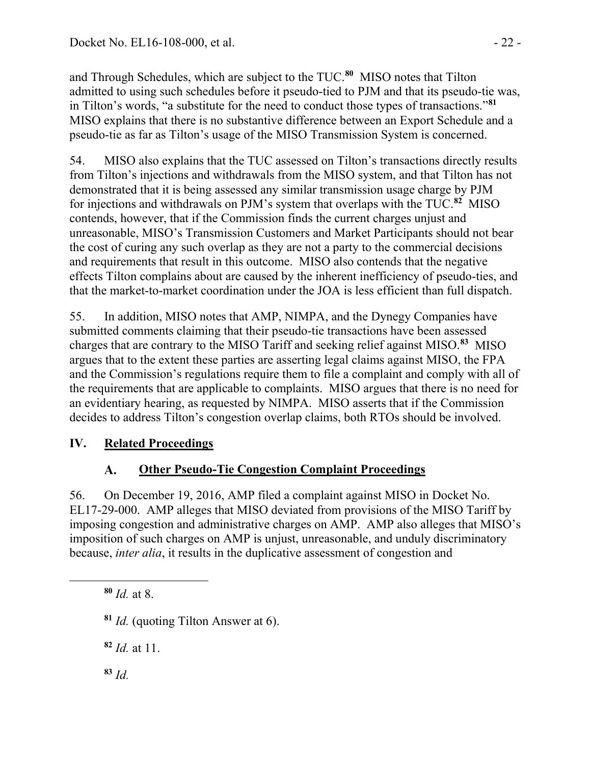and Through Schedules, which are subject to the TUC.**[80](#page-21-0)** MISO notes that Tilton admitted to using such schedules before it pseudo-tied to PJM and that its pseudo-tie was, in Tilton's words, "a substitute for the need to conduct those types of transactions."**[81](#page-21-1)** MISO explains that there is no substantive difference between an Export Schedule and a pseudo-tie as far as Tilton's usage of the MISO Transmission System is concerned.

54. MISO also explains that the TUC assessed on Tilton's transactions directly results from Tilton's injections and withdrawals from the MISO system, and that Tilton has not demonstrated that it is being assessed any similar transmission usage charge by PJM for injections and withdrawals on PJM's system that overlaps with the TUC.**[82](#page-21-2)** MISO contends, however, that if the Commission finds the current charges unjust and unreasonable, MISO's Transmission Customers and Market Participants should not bear the cost of curing any such overlap as they are not a party to the commercial decisions and requirements that result in this outcome. MISO also contends that the negative effects Tilton complains about are caused by the inherent inefficiency of pseudo-ties, and that the market-to-market coordination under the JOA is less efficient than full dispatch.

55. In addition, MISO notes that AMP, NIMPA, and the Dynegy Companies have submitted comments claiming that their pseudo-tie transactions have been assessed charges that are contrary to the MISO Tariff and seeking relief against MISO.**[83](#page-21-3)** MISO argues that to the extent these parties are asserting legal claims against MISO, the FPA and the Commission's regulations require them to file a complaint and comply with all of the requirements that are applicable to complaints. MISO argues that there is no need for an evidentiary hearing, as requested by NIMPA. MISO asserts that if the Commission decides to address Tilton's congestion overlap claims, both RTOs should be involved.

# **IV. Related Proceedings**

#### **Other Pseudo-Tie Congestion Complaint Proceedings**  $\mathbf{A}$ .

56. On December 19, 2016, AMP filed a complaint against MISO in Docket No. EL17-29-000. AMP alleges that MISO deviated from provisions of the MISO Tariff by imposing congestion and administrative charges on AMP. AMP also alleges that MISO's imposition of such charges on AMP is unjust, unreasonable, and unduly discriminatory because, *inter alia*, it results in the duplicative assessment of congestion and

**<sup>80</sup>** *Id.* at 8.

<span id="page-21-2"></span><span id="page-21-1"></span><span id="page-21-0"></span> $\overline{a}$ 

**<sup>81</sup>** *Id.* (quoting Tilton Answer at 6).

**<sup>82</sup>** *Id.* at 11.

<span id="page-21-3"></span>**<sup>83</sup>** *Id.*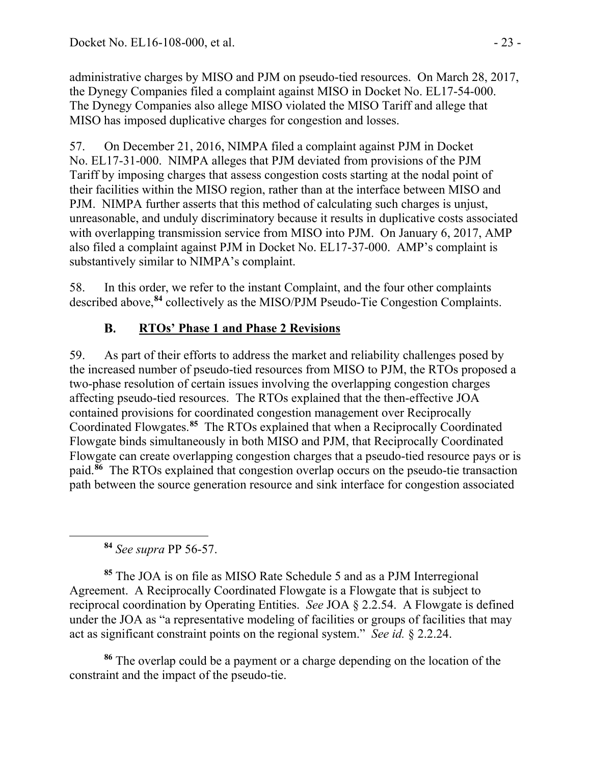administrative charges by MISO and PJM on pseudo-tied resources. On March 28, 2017, the Dynegy Companies filed a complaint against MISO in Docket No. EL17-54-000. The Dynegy Companies also allege MISO violated the MISO Tariff and allege that MISO has imposed duplicative charges for congestion and losses.

57. On December 21, 2016, NIMPA filed a complaint against PJM in Docket No. EL17-31-000. NIMPA alleges that PJM deviated from provisions of the PJM Tariff by imposing charges that assess congestion costs starting at the nodal point of their facilities within the MISO region, rather than at the interface between MISO and PJM. NIMPA further asserts that this method of calculating such charges is unjust, unreasonable, and unduly discriminatory because it results in duplicative costs associated with overlapping transmission service from MISO into PJM. On January 6, 2017, AMP also filed a complaint against PJM in Docket No. EL17-37-000. AMP's complaint is substantively similar to NIMPA's complaint.

58. In this order, we refer to the instant Complaint, and the four other complaints described above,**[84](#page-22-0)** collectively as the MISO/PJM Pseudo-Tie Congestion Complaints.

#### **RTOs' Phase 1 and Phase 2 Revisions B.**

59. As part of their efforts to address the market and reliability challenges posed by the increased number of pseudo-tied resources from MISO to PJM, the RTOs proposed a two-phase resolution of certain issues involving the overlapping congestion charges affecting pseudo-tied resources. The RTOs explained that the then-effective JOA contained provisions for coordinated congestion management over Reciprocally Coordinated Flowgates.**[85](#page-22-1)** The RTOs explained that when a Reciprocally Coordinated Flowgate binds simultaneously in both MISO and PJM, that Reciprocally Coordinated Flowgate can create overlapping congestion charges that a pseudo-tied resource pays or is paid.**[86](#page-22-2)** The RTOs explained that congestion overlap occurs on the pseudo-tie transaction path between the source generation resource and sink interface for congestion associated

**<sup>84</sup>** *See supra* PP 56-57.

<span id="page-22-0"></span>

<span id="page-22-1"></span>**<sup>85</sup>** The JOA is on file as MISO Rate Schedule 5 and as a PJM Interregional Agreement. A Reciprocally Coordinated Flowgate is a Flowgate that is subject to reciprocal coordination by Operating Entities. *See* JOA § 2.2.54. A Flowgate is defined under the JOA as "a representative modeling of facilities or groups of facilities that may act as significant constraint points on the regional system." *See id.* § 2.2.24.

<span id="page-22-2"></span>**<sup>86</sup>** The overlap could be a payment or a charge depending on the location of the constraint and the impact of the pseudo-tie.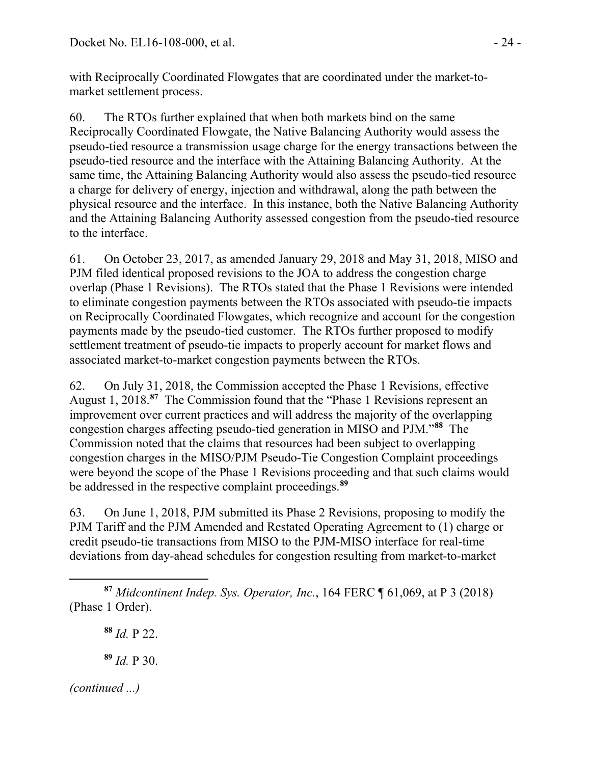with Reciprocally Coordinated Flowgates that are coordinated under the market-tomarket settlement process.

60. The RTOs further explained that when both markets bind on the same Reciprocally Coordinated Flowgate, the Native Balancing Authority would assess the pseudo-tied resource a transmission usage charge for the energy transactions between the pseudo-tied resource and the interface with the Attaining Balancing Authority. At the same time, the Attaining Balancing Authority would also assess the pseudo-tied resource a charge for delivery of energy, injection and withdrawal, along the path between the physical resource and the interface. In this instance, both the Native Balancing Authority and the Attaining Balancing Authority assessed congestion from the pseudo-tied resource to the interface.

61. On October 23, 2017, as amended January 29, 2018 and May 31, 2018, MISO and PJM filed identical proposed revisions to the JOA to address the congestion charge overlap (Phase 1 Revisions). The RTOs stated that the Phase 1 Revisions were intended to eliminate congestion payments between the RTOs associated with pseudo-tie impacts on Reciprocally Coordinated Flowgates, which recognize and account for the congestion payments made by the pseudo-tied customer. The RTOs further proposed to modify settlement treatment of pseudo-tie impacts to properly account for market flows and associated market-to-market congestion payments between the RTOs.

62. On July 31, 2018, the Commission accepted the Phase 1 Revisions, effective August 1, 2018.**[87](#page-23-0)** The Commission found that the "Phase 1 Revisions represent an improvement over current practices and will address the majority of the overlapping congestion charges affecting pseudo-tied generation in MISO and PJM."**[88](#page-23-1)** The Commission noted that the claims that resources had been subject to overlapping congestion charges in the MISO/PJM Pseudo-Tie Congestion Complaint proceedings were beyond the scope of the Phase 1 Revisions proceeding and that such claims would be addressed in the respective complaint proceedings.**[89](#page-23-2)**

63. On June 1, 2018, PJM submitted its Phase 2 Revisions, proposing to modify the PJM Tariff and the PJM Amended and Restated Operating Agreement to (1) charge or credit pseudo-tie transactions from MISO to the PJM-MISO interface for real-time deviations from day-ahead schedules for congestion resulting from market-to-market

**<sup>88</sup>** *Id.* P 22.

<span id="page-23-2"></span>**<sup>89</sup>** *Id.* P 30.

<span id="page-23-1"></span><span id="page-23-0"></span> $\overline{a}$ **<sup>87</sup>** *Midcontinent Indep. Sys. Operator, Inc.*, 164 FERC ¶ 61,069, at P 3 (2018) (Phase 1 Order).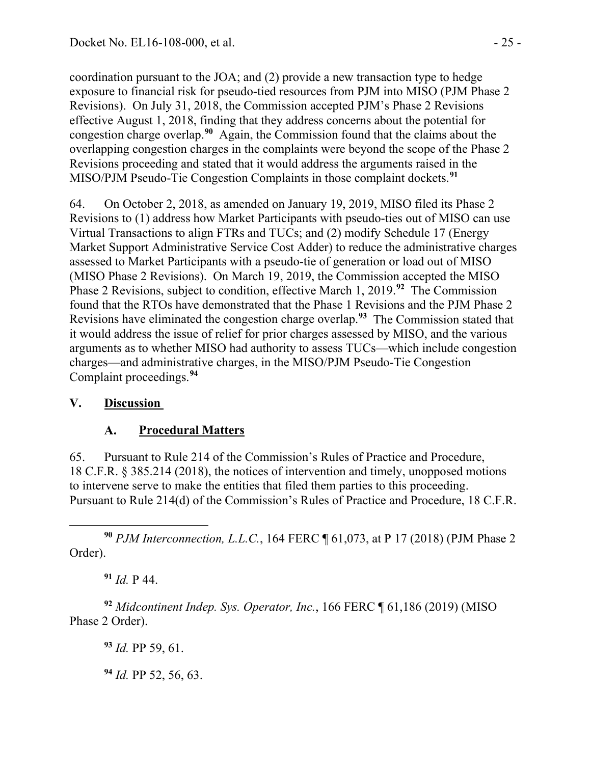coordination pursuant to the JOA; and (2) provide a new transaction type to hedge exposure to financial risk for pseudo-tied resources from PJM into MISO (PJM Phase 2 Revisions). On July 31, 2018, the Commission accepted PJM's Phase 2 Revisions effective August 1, 2018, finding that they address concerns about the potential for congestion charge overlap.**[90](#page-24-0)** Again, the Commission found that the claims about the overlapping congestion charges in the complaints were beyond the scope of the Phase 2 Revisions proceeding and stated that it would address the arguments raised in the MISO/PJM Pseudo-Tie Congestion Complaints in those complaint dockets.**[91](#page-24-1)**

64. On October 2, 2018, as amended on January 19, 2019, MISO filed its Phase 2 Revisions to (1) address how Market Participants with pseudo-ties out of MISO can use Virtual Transactions to align FTRs and TUCs; and (2) modify Schedule 17 (Energy Market Support Administrative Service Cost Adder) to reduce the administrative charges assessed to Market Participants with a pseudo-tie of generation or load out of MISO (MISO Phase 2 Revisions). On March 19, 2019, the Commission accepted the MISO Phase 2 Revisions, subject to condition, effective March 1, 2019.**[92](#page-24-2)** The Commission found that the RTOs have demonstrated that the Phase 1 Revisions and the PJM Phase 2 Revisions have eliminated the congestion charge overlap.**[93](#page-24-3)** The Commission stated that it would address the issue of relief for prior charges assessed by MISO, and the various arguments as to whether MISO had authority to assess TUCs—which include congestion charges—and administrative charges, in the MISO/PJM Pseudo-Tie Congestion Complaint proceedings.**[94](#page-24-4)**

# **V. Discussion**

#### $\mathbf{A}$ . **Procedural Matters**

65. Pursuant to Rule 214 of the Commission's Rules of Practice and Procedure, 18 C.F.R. § 385.214 (2018), the notices of intervention and timely, unopposed motions to intervene serve to make the entities that filed them parties to this proceeding. Pursuant to Rule 214(d) of the Commission's Rules of Practice and Procedure, 18 C.F.R.

<span id="page-24-0"></span> $\overline{a}$ **<sup>90</sup>** *PJM Interconnection, L.L.C.*, 164 FERC ¶ 61,073, at P 17 (2018) (PJM Phase 2 Order).

**<sup>91</sup>** *Id.* P 44.

<span id="page-24-4"></span><span id="page-24-3"></span><span id="page-24-2"></span><span id="page-24-1"></span>**<sup>92</sup>** *Midcontinent Indep. Sys. Operator, Inc.*, 166 FERC ¶ 61,186 (2019) (MISO Phase 2 Order).

**<sup>93</sup>** *Id.* PP 59, 61.

**<sup>94</sup>** *Id.* PP 52, 56, 63.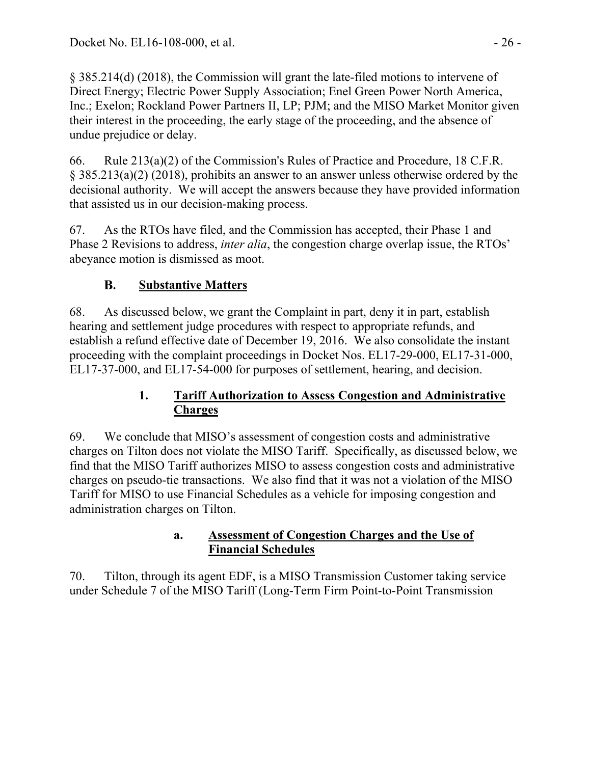§ 385.214(d) (2018), the Commission will grant the late-filed motions to intervene of Direct Energy; Electric Power Supply Association; Enel Green Power North America, Inc.; Exelon; Rockland Power Partners II, LP; PJM; and the MISO Market Monitor given their interest in the proceeding, the early stage of the proceeding, and the absence of undue prejudice or delay.

66. Rule 213(a)(2) of the Commission's Rules of Practice and Procedure, 18 C.F.R. § 385.213(a)(2) (2018), prohibits an answer to an answer unless otherwise ordered by the decisional authority. We will accept the answers because they have provided information that assisted us in our decision-making process.

67. As the RTOs have filed, and the Commission has accepted, their Phase 1 and Phase 2 Revisions to address, *inter alia*, the congestion charge overlap issue, the RTOs' abeyance motion is dismissed as moot.

#### **B. Substantive Matters**

68. As discussed below, we grant the Complaint in part, deny it in part, establish hearing and settlement judge procedures with respect to appropriate refunds, and establish a refund effective date of December 19, 2016. We also consolidate the instant proceeding with the complaint proceedings in Docket Nos. EL17-29-000, EL17-31-000, EL17-37-000, and EL17-54-000 for purposes of settlement, hearing, and decision.

# **1. Tariff Authorization to Assess Congestion and Administrative Charges**

69. We conclude that MISO's assessment of congestion costs and administrative charges on Tilton does not violate the MISO Tariff. Specifically, as discussed below, we find that the MISO Tariff authorizes MISO to assess congestion costs and administrative charges on pseudo-tie transactions. We also find that it was not a violation of the MISO Tariff for MISO to use Financial Schedules as a vehicle for imposing congestion and administration charges on Tilton.

## **a. Assessment of Congestion Charges and the Use of Financial Schedules**

70. Tilton, through its agent EDF, is a MISO Transmission Customer taking service under Schedule 7 of the MISO Tariff (Long-Term Firm Point-to-Point Transmission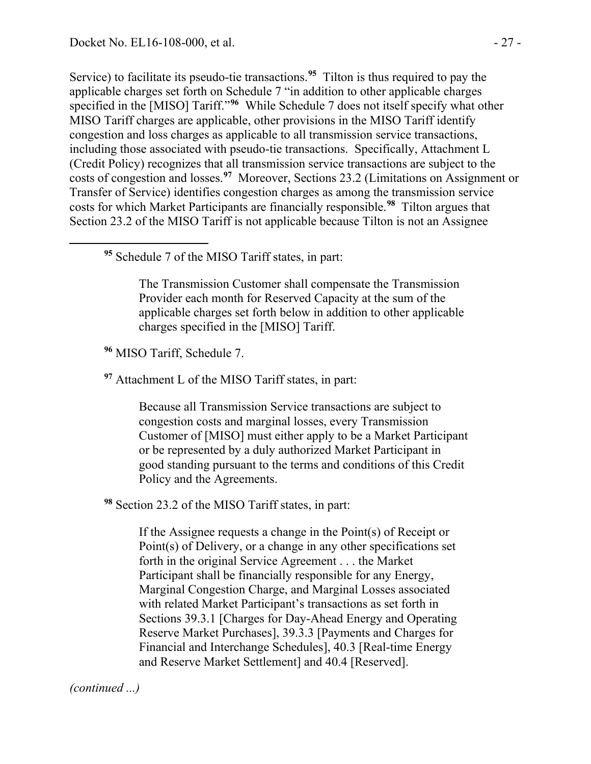<span id="page-26-0"></span> $\overline{a}$ 

Service) to facilitate its pseudo-tie transactions. **[95](#page-26-0)** Tilton is thus required to pay the applicable charges set forth on Schedule 7 "in addition to other applicable charges specified in the [MISO] Tariff."**[96](#page-26-1)** While Schedule 7 does not itself specify what other MISO Tariff charges are applicable, other provisions in the MISO Tariff identify congestion and loss charges as applicable to all transmission service transactions, including those associated with pseudo-tie transactions. Specifically, Attachment L (Credit Policy) recognizes that all transmission service transactions are subject to the costs of congestion and losses.**[97](#page-26-2)** Moreover, Sections 23.2 (Limitations on Assignment or Transfer of Service) identifies congestion charges as among the transmission service costs for which Market Participants are financially responsible. **[98](#page-26-3)** Tilton argues that Section 23.2 of the MISO Tariff is not applicable because Tilton is not an Assignee

**<sup>95</sup>** Schedule 7 of the MISO Tariff states, in part:

The Transmission Customer shall compensate the Transmission Provider each month for Reserved Capacity at the sum of the applicable charges set forth below in addition to other applicable charges specified in the [MISO] Tariff.

<span id="page-26-1"></span>**<sup>96</sup>** MISO Tariff, Schedule 7.

<span id="page-26-2"></span>**<sup>97</sup>** Attachment L of the MISO Tariff states, in part:

Because all Transmission Service transactions are subject to congestion costs and marginal losses, every Transmission Customer of [MISO] must either apply to be a Market Participant or be represented by a duly authorized Market Participant in good standing pursuant to the terms and conditions of this Credit Policy and the Agreements.

<span id="page-26-3"></span>**<sup>98</sup>** Section 23.2 of the MISO Tariff states, in part:

If the Assignee requests a change in the Point(s) of Receipt or Point(s) of Delivery, or a change in any other specifications set forth in the original Service Agreement . . . the Market Participant shall be financially responsible for any Energy, Marginal Congestion Charge, and Marginal Losses associated with related Market Participant's transactions as set forth in Sections 39.3.1 [Charges for Day-Ahead Energy and Operating Reserve Market Purchases], 39.3.3 [Payments and Charges for Financial and Interchange Schedules], 40.3 [Real-time Energy and Reserve Market Settlement] and 40.4 [Reserved].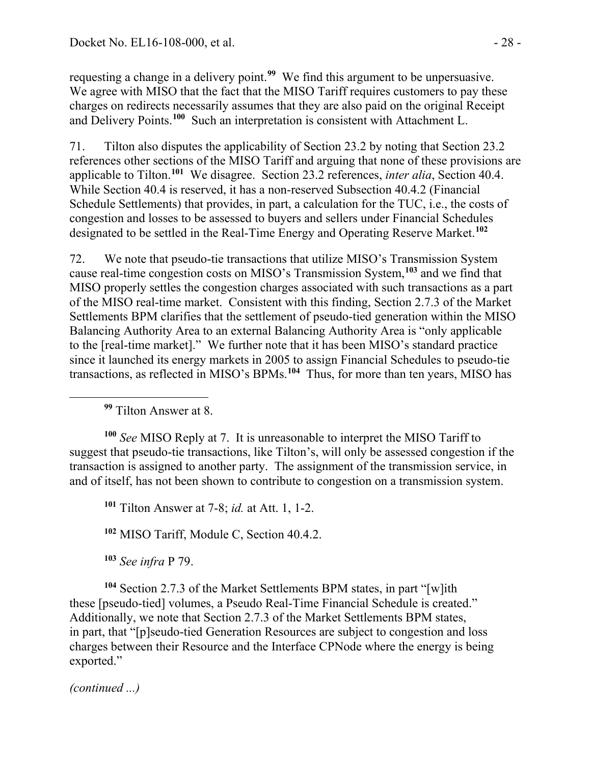requesting a change in a delivery point.**[99](#page-27-0)** We find this argument to be unpersuasive. We agree with MISO that the fact that the MISO Tariff requires customers to pay these charges on redirects necessarily assumes that they are also paid on the original Receipt and Delivery Points.**[100](#page-27-1)** Such an interpretation is consistent with Attachment L.

71. Tilton also disputes the applicability of Section 23.2 by noting that Section 23.2 references other sections of the MISO Tariff and arguing that none of these provisions are applicable to Tilton.**[101](#page-27-2)** We disagree. Section 23.2 references, *inter alia*, Section 40.4. While Section 40.4 is reserved, it has a non-reserved Subsection 40.4.2 (Financial Schedule Settlements) that provides, in part, a calculation for the TUC, i.e., the costs of congestion and losses to be assessed to buyers and sellers under Financial Schedules designated to be settled in the Real-Time Energy and Operating Reserve Market. **[102](#page-27-3)**

72. We note that pseudo-tie transactions that utilize MISO's Transmission System cause real-time congestion costs on MISO's Transmission System,**[103](#page-27-4)** and we find that MISO properly settles the congestion charges associated with such transactions as a part of the MISO real-time market. Consistent with this finding, Section 2.7.3 of the Market Settlements BPM clarifies that the settlement of pseudo-tied generation within the MISO Balancing Authority Area to an external Balancing Authority Area is "only applicable to the [real-time market]." We further note that it has been MISO's standard practice since it launched its energy markets in 2005 to assign Financial Schedules to pseudo-tie transactions, as reflected in MISO's BPMs. **[104](#page-27-5)** Thus, for more than ten years, MISO has

**<sup>99</sup>** Tilton Answer at 8.

<span id="page-27-0"></span> $\overline{a}$ 

<span id="page-27-2"></span><span id="page-27-1"></span>**<sup>100</sup>** *See* MISO Reply at 7. It is unreasonable to interpret the MISO Tariff to suggest that pseudo-tie transactions, like Tilton's, will only be assessed congestion if the transaction is assigned to another party. The assignment of the transmission service, in and of itself, has not been shown to contribute to congestion on a transmission system.

**<sup>101</sup>** Tilton Answer at 7-8; *id.* at Att. 1, 1-2.

**<sup>102</sup>** MISO Tariff, Module C, Section 40.4.2.

**<sup>103</sup>** *See infra* P 79.

<span id="page-27-5"></span><span id="page-27-4"></span><span id="page-27-3"></span>**<sup>104</sup>** Section 2.7.3 of the Market Settlements BPM states, in part "[w]ith these [pseudo-tied] volumes, a Pseudo Real-Time Financial Schedule is created." Additionally, we note that Section 2.7.3 of the Market Settlements BPM states, in part, that "[p]seudo-tied Generation Resources are subject to congestion and loss charges between their Resource and the Interface CPNode where the energy is being exported."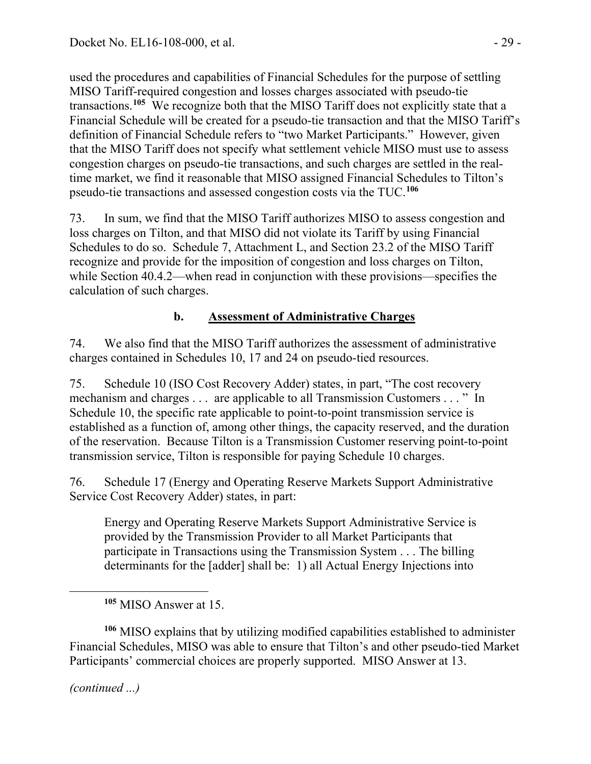used the procedures and capabilities of Financial Schedules for the purpose of settling MISO Tariff-required congestion and losses charges associated with pseudo-tie transactions. **[105](#page-28-0)** We recognize both that the MISO Tariff does not explicitly state that a Financial Schedule will be created for a pseudo-tie transaction and that the MISO Tariff's definition of Financial Schedule refers to "two Market Participants." However, given that the MISO Tariff does not specify what settlement vehicle MISO must use to assess congestion charges on pseudo-tie transactions, and such charges are settled in the realtime market, we find it reasonable that MISO assigned Financial Schedules to Tilton's pseudo-tie transactions and assessed congestion costs via the TUC.**[106](#page-28-1)**

73. In sum, we find that the MISO Tariff authorizes MISO to assess congestion and loss charges on Tilton, and that MISO did not violate its Tariff by using Financial Schedules to do so. Schedule 7, Attachment L, and Section 23.2 of the MISO Tariff recognize and provide for the imposition of congestion and loss charges on Tilton, while Section 40.4.2—when read in conjunction with these provisions—specifies the calculation of such charges.

# **b. Assessment of Administrative Charges**

74. We also find that the MISO Tariff authorizes the assessment of administrative charges contained in Schedules 10, 17 and 24 on pseudo-tied resources.

75. Schedule 10 (ISO Cost Recovery Adder) states, in part, "The cost recovery mechanism and charges . . . are applicable to all Transmission Customers . . . " In Schedule 10, the specific rate applicable to point-to-point transmission service is established as a function of, among other things, the capacity reserved, and the duration of the reservation. Because Tilton is a Transmission Customer reserving point-to-point transmission service, Tilton is responsible for paying Schedule 10 charges.

76. Schedule 17 (Energy and Operating Reserve Markets Support Administrative Service Cost Recovery Adder) states, in part:

Energy and Operating Reserve Markets Support Administrative Service is provided by the Transmission Provider to all Market Participants that participate in Transactions using the Transmission System . . . The billing determinants for the [adder] shall be: 1) all Actual Energy Injections into

**<sup>105</sup>** MISO Answer at 15.

<span id="page-28-1"></span><span id="page-28-0"></span>**<sup>106</sup>** MISO explains that by utilizing modified capabilities established to administer Financial Schedules, MISO was able to ensure that Tilton's and other pseudo-tied Market Participants' commercial choices are properly supported. MISO Answer at 13.

*(continued ...)*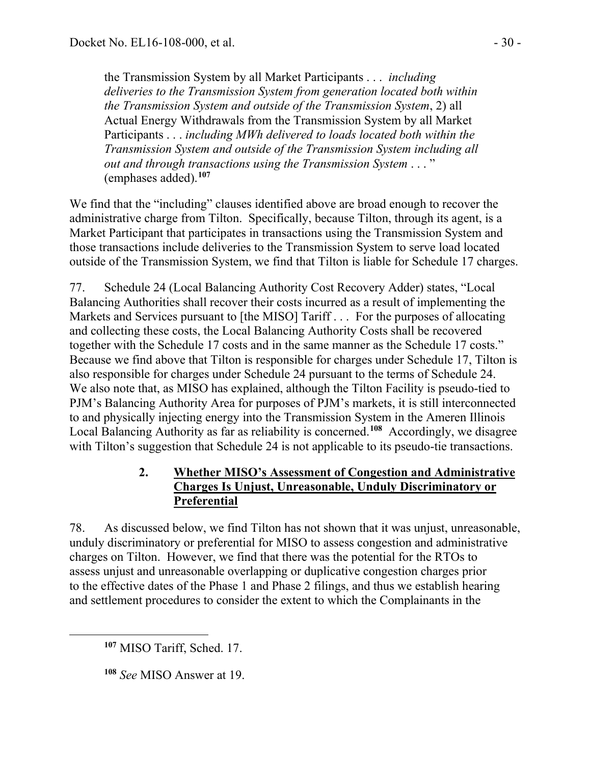the Transmission System by all Market Participants . . . *including deliveries to the Transmission System from generation located both within the Transmission System and outside of the Transmission System*, 2) all Actual Energy Withdrawals from the Transmission System by all Market Participants . . . *including MWh delivered to loads located both within the Transmission System and outside of the Transmission System including all out and through transactions using the Transmission System* . . . " (emphases added).**[107](#page-29-0)**

We find that the "including" clauses identified above are broad enough to recover the administrative charge from Tilton. Specifically, because Tilton, through its agent, is a Market Participant that participates in transactions using the Transmission System and those transactions include deliveries to the Transmission System to serve load located outside of the Transmission System, we find that Tilton is liable for Schedule 17 charges.

77. Schedule 24 (Local Balancing Authority Cost Recovery Adder) states, "Local Balancing Authorities shall recover their costs incurred as a result of implementing the Markets and Services pursuant to [the MISO] Tariff . . . For the purposes of allocating and collecting these costs, the Local Balancing Authority Costs shall be recovered together with the Schedule 17 costs and in the same manner as the Schedule 17 costs." Because we find above that Tilton is responsible for charges under Schedule 17, Tilton is also responsible for charges under Schedule 24 pursuant to the terms of Schedule 24. We also note that, as MISO has explained, although the Tilton Facility is pseudo-tied to PJM's Balancing Authority Area for purposes of PJM's markets, it is still interconnected to and physically injecting energy into the Transmission System in the Ameren Illinois Local Balancing Authority as far as reliability is concerned.**[108](#page-29-1)** Accordingly, we disagree with Tilton's suggestion that Schedule 24 is not applicable to its pseudo-tie transactions.

## **2. Whether MISO's Assessment of Congestion and Administrative Charges Is Unjust, Unreasonable, Unduly Discriminatory or Preferential**

78. As discussed below, we find Tilton has not shown that it was unjust, unreasonable, unduly discriminatory or preferential for MISO to assess congestion and administrative charges on Tilton. However, we find that there was the potential for the RTOs to assess unjust and unreasonable overlapping or duplicative congestion charges prior to the effective dates of the Phase 1 and Phase 2 filings, and thus we establish hearing and settlement procedures to consider the extent to which the Complainants in the

<span id="page-29-0"></span>**<sup>107</sup>** MISO Tariff, Sched. 17.

<span id="page-29-1"></span>**<sup>108</sup>** *See* MISO Answer at 19.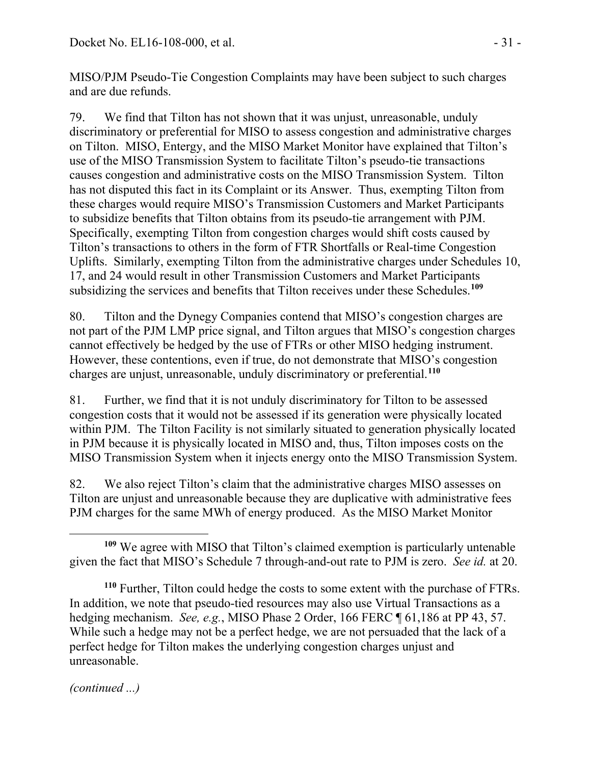MISO/PJM Pseudo-Tie Congestion Complaints may have been subject to such charges and are due refunds.

79. We find that Tilton has not shown that it was unjust, unreasonable, unduly discriminatory or preferential for MISO to assess congestion and administrative charges on Tilton. MISO, Entergy, and the MISO Market Monitor have explained that Tilton's use of the MISO Transmission System to facilitate Tilton's pseudo-tie transactions causes congestion and administrative costs on the MISO Transmission System. Tilton has not disputed this fact in its Complaint or its Answer. Thus, exempting Tilton from these charges would require MISO's Transmission Customers and Market Participants to subsidize benefits that Tilton obtains from its pseudo-tie arrangement with PJM. Specifically, exempting Tilton from congestion charges would shift costs caused by Tilton's transactions to others in the form of FTR Shortfalls or Real-time Congestion Uplifts. Similarly, exempting Tilton from the administrative charges under Schedules 10, 17, and 24 would result in other Transmission Customers and Market Participants subsidizing the services and benefits that Tilton receives under these Schedules.**[109](#page-30-0)**

80. Tilton and the Dynegy Companies contend that MISO's congestion charges are not part of the PJM LMP price signal, and Tilton argues that MISO's congestion charges cannot effectively be hedged by the use of FTRs or other MISO hedging instrument. However, these contentions, even if true, do not demonstrate that MISO's congestion charges are unjust, unreasonable, unduly discriminatory or preferential.**[110](#page-30-1)**

81. Further, we find that it is not unduly discriminatory for Tilton to be assessed congestion costs that it would not be assessed if its generation were physically located within PJM. The Tilton Facility is not similarly situated to generation physically located in PJM because it is physically located in MISO and, thus, Tilton imposes costs on the MISO Transmission System when it injects energy onto the MISO Transmission System.

82. We also reject Tilton's claim that the administrative charges MISO assesses on Tilton are unjust and unreasonable because they are duplicative with administrative fees PJM charges for the same MWh of energy produced. As the MISO Market Monitor

<span id="page-30-0"></span> $\overline{a}$ **<sup>109</sup>** We agree with MISO that Tilton's claimed exemption is particularly untenable given the fact that MISO's Schedule 7 through-and-out rate to PJM is zero. *See id.* at 20.

<span id="page-30-1"></span>**<sup>110</sup>** Further, Tilton could hedge the costs to some extent with the purchase of FTRs. In addition, we note that pseudo-tied resources may also use Virtual Transactions as a hedging mechanism. *See, e.g.*, MISO Phase 2 Order, 166 FERC ¶ 61,186 at PP 43, 57. While such a hedge may not be a perfect hedge, we are not persuaded that the lack of a perfect hedge for Tilton makes the underlying congestion charges unjust and unreasonable.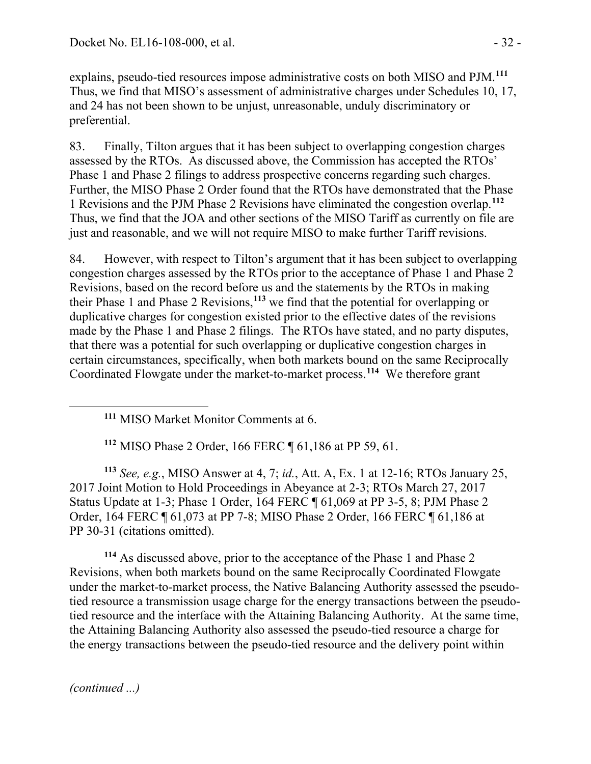explains, pseudo-tied resources impose administrative costs on both MISO and PJM.**[111](#page-31-0)** Thus, we find that MISO's assessment of administrative charges under Schedules 10, 17, and 24 has not been shown to be unjust, unreasonable, unduly discriminatory or preferential.

83. Finally, Tilton argues that it has been subject to overlapping congestion charges assessed by the RTOs. As discussed above, the Commission has accepted the RTOs' Phase 1 and Phase 2 filings to address prospective concerns regarding such charges. Further, the MISO Phase 2 Order found that the RTOs have demonstrated that the Phase 1 Revisions and the PJM Phase 2 Revisions have eliminated the congestion overlap.**[112](#page-31-1)** Thus, we find that the JOA and other sections of the MISO Tariff as currently on file are just and reasonable, and we will not require MISO to make further Tariff revisions.

84. However, with respect to Tilton's argument that it has been subject to overlapping congestion charges assessed by the RTOs prior to the acceptance of Phase 1 and Phase 2 Revisions, based on the record before us and the statements by the RTOs in making their Phase 1 and Phase 2 Revisions,**[113](#page-31-2)** we find that the potential for overlapping or duplicative charges for congestion existed prior to the effective dates of the revisions made by the Phase 1 and Phase 2 filings. The RTOs have stated, and no party disputes, that there was a potential for such overlapping or duplicative congestion charges in certain circumstances, specifically, when both markets bound on the same Reciprocally Coordinated Flowgate under the market-to-market process. **[114](#page-31-3)** We therefore grant

**<sup>111</sup>** MISO Market Monitor Comments at 6.

**<sup>112</sup>** MISO Phase 2 Order, 166 FERC ¶ 61,186 at PP 59, 61.

<span id="page-31-2"></span><span id="page-31-1"></span>**<sup>113</sup>** *See, e.g.*, MISO Answer at 4, 7; *id.*, Att. A, Ex. 1 at 12-16; RTOs January 25, 2017 Joint Motion to Hold Proceedings in Abeyance at 2-3; RTOs March 27, 2017 Status Update at 1-3; Phase 1 Order, 164 FERC ¶ 61,069 at PP 3-5, 8; PJM Phase 2 Order, 164 FERC ¶ 61,073 at PP 7-8; MISO Phase 2 Order, 166 FERC ¶ 61,186 at PP 30-31 (citations omitted).

<span id="page-31-3"></span>**<sup>114</sup>** As discussed above, prior to the acceptance of the Phase 1 and Phase 2 Revisions, when both markets bound on the same Reciprocally Coordinated Flowgate under the market-to-market process, the Native Balancing Authority assessed the pseudotied resource a transmission usage charge for the energy transactions between the pseudotied resource and the interface with the Attaining Balancing Authority. At the same time, the Attaining Balancing Authority also assessed the pseudo-tied resource a charge for the energy transactions between the pseudo-tied resource and the delivery point within

*(continued ...)*

<span id="page-31-0"></span>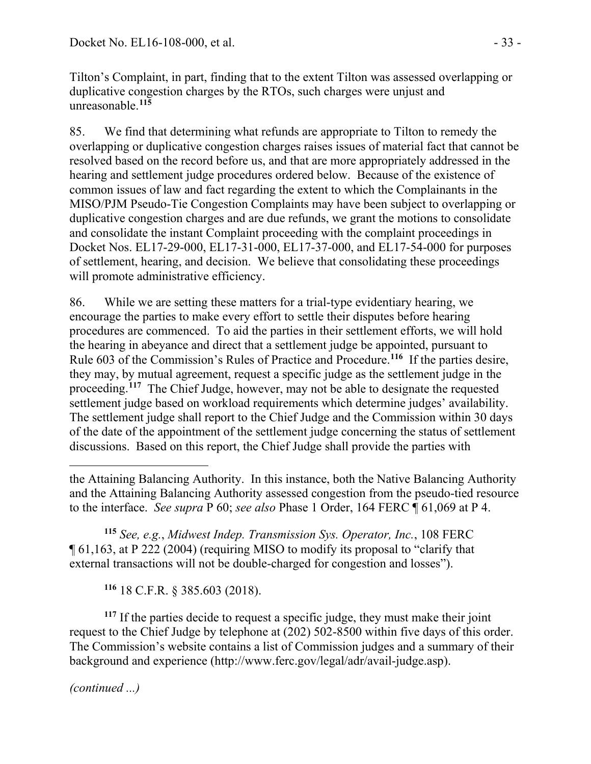Tilton's Complaint, in part, finding that to the extent Tilton was assessed overlapping or duplicative congestion charges by the RTOs, such charges were unjust and unreasonable.**[115](#page-32-0)**

85. We find that determining what refunds are appropriate to Tilton to remedy the overlapping or duplicative congestion charges raises issues of material fact that cannot be resolved based on the record before us, and that are more appropriately addressed in the hearing and settlement judge procedures ordered below. Because of the existence of common issues of law and fact regarding the extent to which the Complainants in the MISO/PJM Pseudo-Tie Congestion Complaints may have been subject to overlapping or duplicative congestion charges and are due refunds, we grant the motions to consolidate and consolidate the instant Complaint proceeding with the complaint proceedings in Docket Nos. EL17-29-000, EL17-31-000, EL17-37-000, and EL17-54-000 for purposes of settlement, hearing, and decision. We believe that consolidating these proceedings will promote administrative efficiency.

86. While we are setting these matters for a trial-type evidentiary hearing, we encourage the parties to make every effort to settle their disputes before hearing procedures are commenced. To aid the parties in their settlement efforts, we will hold the hearing in abeyance and direct that a settlement judge be appointed, pursuant to Rule 603 of the Commission's Rules of Practice and Procedure.**[116](#page-32-1)** If the parties desire, they may, by mutual agreement, request a specific judge as the settlement judge in the proceeding.<sup>[117](#page-32-2)</sup> The Chief Judge, however, may not be able to designate the requested settlement judge based on workload requirements which determine judges' availability. The settlement judge shall report to the Chief Judge and the Commission within 30 days of the date of the appointment of the settlement judge concerning the status of settlement discussions. Based on this report, the Chief Judge shall provide the parties with

<span id="page-32-0"></span>**<sup>115</sup>** *See, e.g.*, *Midwest Indep. Transmission Sys. Operator, Inc.*, 108 FERC ¶ 61,163, at P 222 (2004) (requiring MISO to modify its proposal to "clarify that external transactions will not be double-charged for congestion and losses").

**<sup>116</sup>** 18 C.F.R. § 385.603 (2018).

<span id="page-32-2"></span><span id="page-32-1"></span>**<sup>117</sup>** If the parties decide to request a specific judge, they must make their joint request to the Chief Judge by telephone at (202) 502-8500 within five days of this order. The Commission's website contains a list of Commission judges and a summary of their background and experience [\(http://www.ferc.gov/legal/adr/avail-judge.asp\)](http://www.ferc.gov/legal/adr/avail-judge.asp).

 $\overline{a}$ the Attaining Balancing Authority. In this instance, both the Native Balancing Authority and the Attaining Balancing Authority assessed congestion from the pseudo-tied resource to the interface. *See supra* P 60; *see also* Phase 1 Order, 164 FERC ¶ 61,069 at P 4.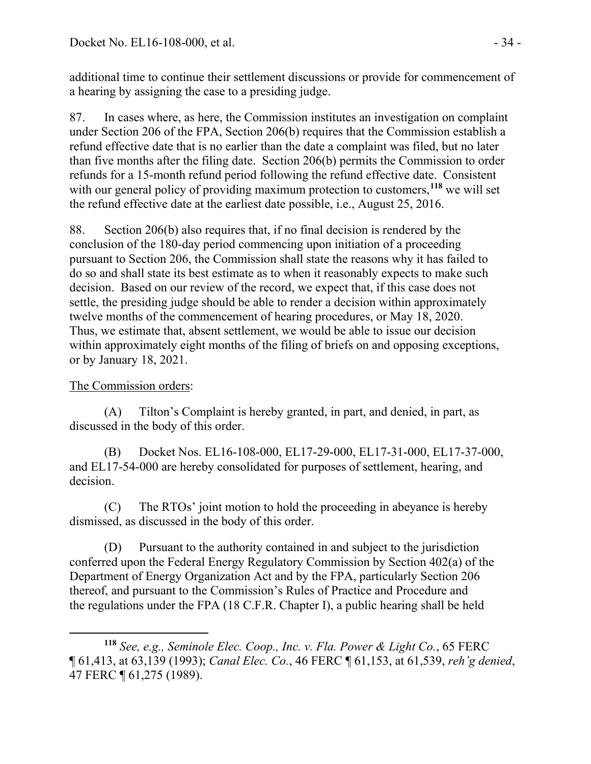additional time to continue their settlement discussions or provide for commencement of a hearing by assigning the case to a presiding judge.

87. In cases where, as here, the Commission institutes an investigation on complaint under Section 206 of the FPA, Section 206(b) requires that the Commission establish a refund effective date that is no earlier than the date a complaint was filed, but no later than five months after the filing date. Section 206(b) permits the Commission to order refunds for a 15-month refund period following the refund effective date. Consistent with our general policy of providing maximum protection to customers,**[118](#page-33-0)** we will set the refund effective date at the earliest date possible, i.e., August 25, 2016.

88. Section 206(b) also requires that, if no final decision is rendered by the conclusion of the 180-day period commencing upon initiation of a proceeding pursuant to Section 206, the Commission shall state the reasons why it has failed to do so and shall state its best estimate as to when it reasonably expects to make such decision. Based on our review of the record, we expect that, if this case does not settle, the presiding judge should be able to render a decision within approximately twelve months of the commencement of hearing procedures, or May 18, 2020. Thus, we estimate that, absent settlement, we would be able to issue our decision within approximately eight months of the filing of briefs on and opposing exceptions, or by January 18, 2021.

### The Commission orders:

(A) Tilton's Complaint is hereby granted, in part, and denied, in part, as discussed in the body of this order.

(B) Docket Nos. EL16-108-000, EL17-29-000, EL17-31-000, EL17-37-000, and EL17-54-000 are hereby consolidated for purposes of settlement, hearing, and decision.

(C) The RTOs' joint motion to hold the proceeding in abeyance is hereby dismissed, as discussed in the body of this order.

(D) Pursuant to the authority contained in and subject to the jurisdiction conferred upon the Federal Energy Regulatory Commission by Section 402(a) of the Department of Energy Organization Act and by the FPA, particularly Section 206 thereof, and pursuant to the Commission's Rules of Practice and Procedure and the regulations under the FPA (18 C.F.R. Chapter I), a public hearing shall be held

<span id="page-33-0"></span> $\overline{a}$ **<sup>118</sup>** *See, e.g., Seminole Elec. Coop., Inc. v. Fla. Power & Light Co.*, 65 FERC ¶ 61,413, at 63,139 (1993); *Canal Elec. Co.*, 46 FERC ¶ 61,153, at 61,539, *reh'g denied*, 47 FERC ¶ 61,275 (1989).